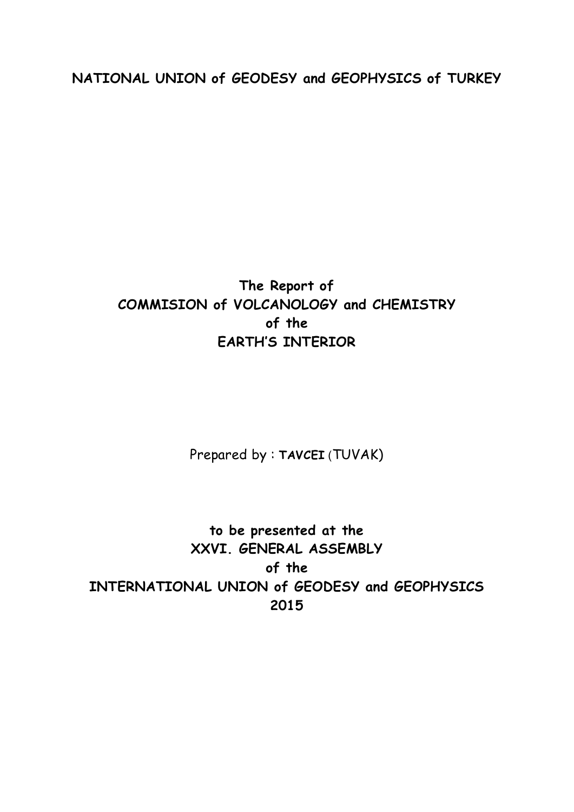**NATIONAL UNION of GEODESY and GEOPHYSICS of TURKEY**

## **The Report of COMMISION of VOLCANOLOGY and CHEMISTRY of the EARTH'S INTERIOR**

Prepared by : **TAVCEI** (TUVAK)

**to be presented at the XXVI. GENERAL ASSEMBLY of the INTERNATIONAL UNION of GEODESY and GEOPHYSICS 2015**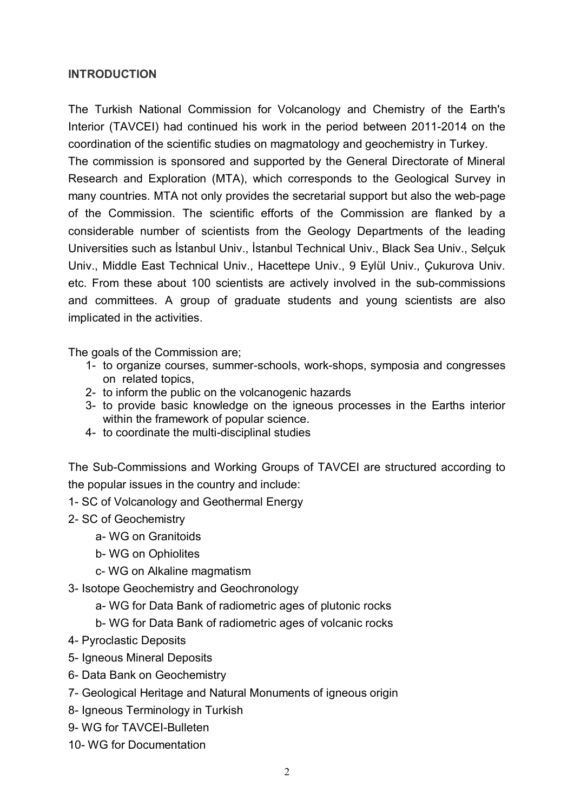## **INTRODUCTION**

The Turkish National Commission for Volcanology and Chemistry of the Earth's Interior (TAVCEI) had continued his work in the period between 2011-2014 on the coordination of the scientific studies on magmatology and geochemistry in Turkey.

The commission is sponsored and supported by the General Directorate of Mineral Research and Exploration (MTA), which corresponds to the Geological Survey in many countries. MTA not only provides the secretarial support but also the web-page of the Commission. The scientific efforts of the Commission are flanked by a considerable number of scientists from the Geology Departments of the leading Universities such as İstanbul Univ., İstanbul Technical Univ., Black Sea Univ., Selçuk Univ., Middle East Technical Univ., Hacettepe Univ., 9 Eylül Univ., Çukurova Univ. etc. From these about 100 scientists are actively involved in the sub-commissions and committees. A group of graduate students and young scientists are also implicated in the activities.

The goals of the Commission are;

- 1- to organize courses, summer-schools, work-shops, symposia and congresses on related topics,
- 2- to inform the public on the volcanogenic hazards
- 3- to provide basic knowledge on the igneous processes in the Earths interior within the framework of popular science.
- 4- to coordinate the multi-disciplinal studies

The Sub-Commissions and Working Groups of TAVCEI are structured according to the popular issues in the country and include:

- 1- SC of Volcanology and Geothermal Energy
- 2- SC of Geochemistry
	- a- WG on Granitoids
	- b- WG on Ophiolites
	- c- WG on Alkaline magmatism
- 3- Isotope Geochemistry and Geochronology
	- a- WG for Data Bank of radiometric ages of plutonic rocks
	- b- WG for Data Bank of radiometric ages of volcanic rocks
- 4- Pyroclastic Deposits
- 5- Igneous Mineral Deposits
- 6- Data Bank on Geochemistry
- 7- Geological Heritage and Natural Monuments of igneous origin
- 8- Igneous Terminology in Turkish
- 9- WG for TAVCEI-Bulleten
- 10- WG for Documentation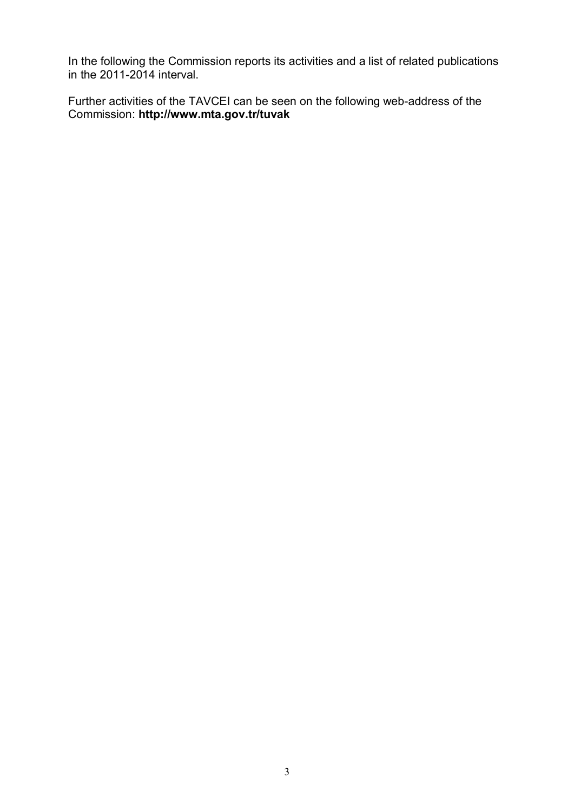In the following the Commission reports its activities and a list of related publications in the 2011-2014 interval.

Further activities of the TAVCEI can be seen on the following web-address of the Commission: **http://www.mta.gov.tr/tuvak**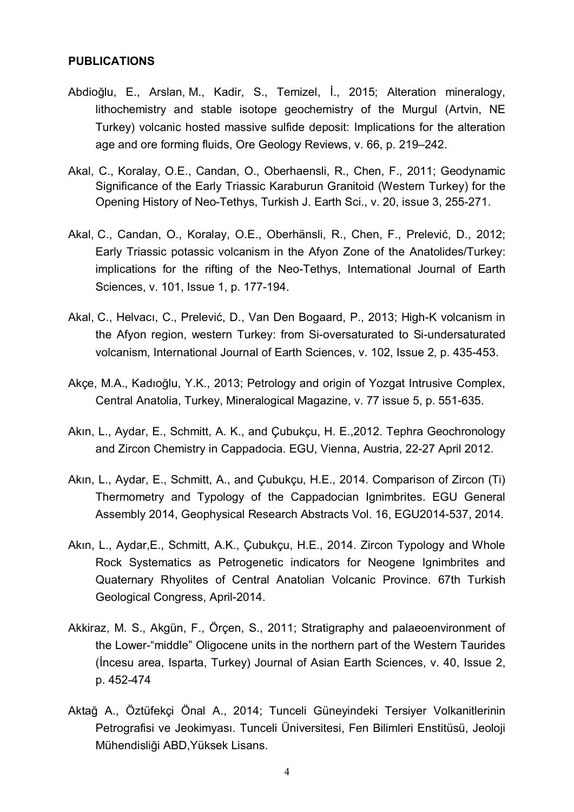## **PUBLICATIONS**

- Abdioğlu, E., [Arslan,](http://www.sciencedirect.com/science/article/pii/S0375674211001701) M., [Kadir,](http://www.sciencedirect.com/science/article/pii/S0375674211001701) S., [Temizel,](http://www.sciencedirect.com/science/article/pii/S0375674211001701) İ., 2015; Alteration mineralogy, lithochemistry and stable isotope geochemistry of the Murgul (Artvin, NE Turkey) volcanic hosted massive sulfide deposit: Implications for the alteration age and ore forming fluids, [Ore Geology Reviews,](http://www.sciencedirect.com/science/journal/01691368) [v. 66,](http://www.sciencedirect.com/science/journal/03756742/112/supp/C) p. 219–242.
- Akal, C., Koralay, O.E., Candan, O., Oberhaensli, R., Chen, F., 2011; Geodynamic Significance of the Early Triassic Karaburun Granitoid (Western Turkey) for the Opening History of Neo-Tethys, Turkish J. Earth Sci., v. 20, issue 3, 255-271.
- [Akal,](http://www.sciencedirect.com/science/article/pii/S0375674211001701) C., [Candan,](http://www.sciencedirect.com/science/article/pii/S0375674211001701) O., [Koralay,](http://www.sciencedirect.com/science/article/pii/S0375674211001701) O.E., [Oberhänsli,](http://link.springer.com/search?facet-author=%22Roland+Oberh%C3%A4nsli%22) R., Chen, F., [Prelevi](http://link.springer.com/search?facet-author=%22Dejan+Prelevi%C4%87%22)ć, D., 2012; Early Triassic potassic volcanism in the Afyon Zone of the Anatolides/Turkey: implications for the rifting of the Neo-Tethys, [International Journal of Earth](http://link.springer.com/journal/531) [Sciences,](http://link.springer.com/journal/531) [v. 101,](http://www.sciencedirect.com/science/journal/03756742/112/supp/C) [Issue](http://link.springer.com/journal/710/103/1/page/1) 1, p. 177-194.
- [Akal,](http://www.sciencedirect.com/science/article/pii/S0375674211001701) C., Helvacı, C., [Prelevi](http://link.springer.com/search?facet-author=%22Dejan+Prelevi%C4%87%22)ć, D., [Van Den Bogaard,](http://link.springer.com/search?facet-author=%22Paul+van+den+Bogaard%22) P., 2013; High-K volcanism in the Afyon region, western Turkey: from Si-oversaturated to Si-undersaturated volcanism, [International Journal of Earth Sciences,](http://link.springer.com/journal/531) [v. 102,](http://www.sciencedirect.com/science/journal/03756742/112/supp/C) I[ssue 2](http://link.springer.com/journal/710/103/1/page/1), p. 435-453.
- Akçe, M.A., Kadıoğlu, Y.K., 2013; Petrology and origin of Yozgat Intrusive Complex, Central Anatolia, Turkey, Mineralogical Magazine, v. 77 issue 5, p. 551-635.
- Akın, L., Aydar, E., Schmitt, A. K., and Çubukçu, H. E.,2012. Tephra Geochronology and Zircon Chemistry in Cappadocia. EGU, Vienna, Austria, 22-27 April 2012.
- Akın, L., Aydar, E., Schmitt, A., and Çubukçu, H.E., 2014. Comparison of Zircon (Ti) Thermometry and Typology of the Cappadocian Ignimbrites. EGU General Assembly 2014, Geophysical Research Abstracts Vol. 16, EGU2014-537, 2014.
- Akın, L., Aydar,E., Schmitt, A.K., Çubukçu, H.E., 2014. Zircon Typology and Whole Rock Systematics as Petrogenetic indicators for Neogene Ignimbrites and Quaternary Rhyolites of Central Anatolian Volcanic Province. 67th Turkish Geological Congress, April-2014.
- Akkiraz, M. S., Akgün, F., Örçen, S., 2011; Stratigraphy and palaeoenvironment of the Lower-"middle" Oligocene units in the northern part of the Western Taurides (İncesu area, Isparta, Turkey) Journal of Asian Earth Sciences, v. 40, Issue 2, p. 452-474
- Aktağ A., Öztüfekçi Önal A., 2014; Tunceli Güneyindeki Tersiyer Volkanitlerinin Petrografisi ve Jeokimyası. Tunceli Üniversitesi, Fen Bilimleri Enstitüsü, Jeoloji Mühendisliği ABD,Yüksek Lisans.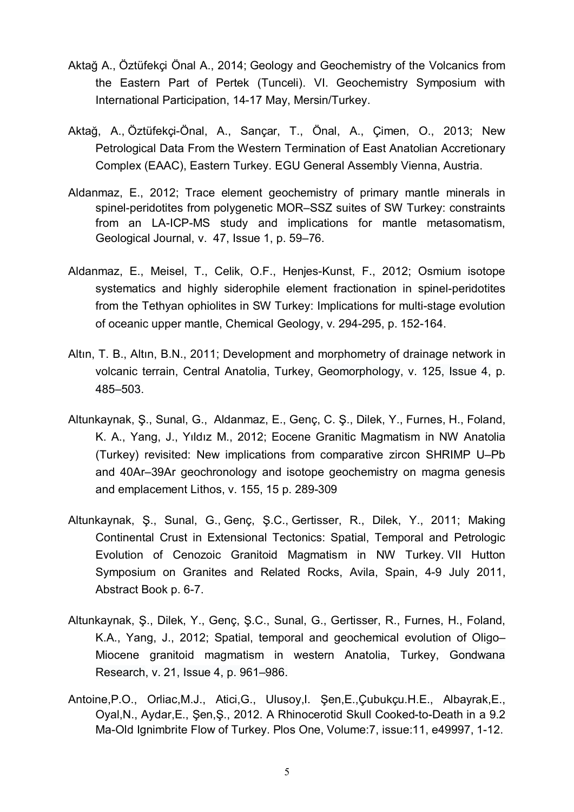- Aktağ A., Öztüfekçi Önal A., 2014; Geology and Geochemistry of the Volcanics from the Eastern Part of Pertek (Tunceli). VI. Geochemistry Symposium with International Participation, 14-17 May, Mersin/Turkey.
- Aktağ, A., Öztüfekçi-Önal, A., Sançar, T., Önal, A., Çimen, O., 2013; New Petrological Data From the Western Termination of East Anatolian Accretionary Complex (EAAC), Eastern Turkey. EGU General Assembly Vienna, Austria.
- Aldanmaz, E., 2012; Trace element geochemistry of primary mantle minerals in spinel-peridotites from polygenetic MOR–SSZ suites of SW Turkey: constraints from an LA-ICP-MS study and implications for mantle metasomatism, Geological Journal, [v. 47, Issue 1, p](http://onlinelibrary.wiley.com/doi/10.1002/gj.v47.1/issuetoc). 59–76.
- Aldanmaz, E., Meisel, T., Celik, O.F., Henjes-Kunst, F., 2012; [Osmium isotope](http://www.sciencedirect.com/science/article/pii/S0009254111004633) [systematics and highly siderophile element fractionation in spinel-peridotites](http://www.sciencedirect.com/science/article/pii/S0009254111004633) [from the Tethyan ophiolites in SW Turkey: Implications for multi-stage evolution](http://www.sciencedirect.com/science/article/pii/S0009254111004633) [of oceanic upper mantle,](http://www.sciencedirect.com/science/article/pii/S0009254111004633) Chemical Geology, v. 294-295, p. 152-164.
- Altın, T. B., Altın, B.N., 2011; Development and morphometry of drainage network in volcanic terrain, Central Anatolia, Turkey, [Geomorphology,](http://www.sciencedirect.com/science/journal/0169555X) [v. 125, Issue 4,](http://www.sciencedirect.com/science/journal/03756742/112/supp/C) p. 485–503.
- Altunkaynak, Ş., Sunal, G., Aldanmaz, E., Genç, C. Ş., Dilek, Y., Furnes, H., Foland, K. A., Yang, J., Yıldız M., 2012; Eocene Granitic Magmatism in NW Anatolia (Turkey) revisited: New implications from comparative zircon SHRIMP U–Pb and 40Ar–39Ar geochronology and isotope geochemistry on magma genesis and emplacement Lithos, v. 155, 15 p. 289-309
- Altunkaynak, Ş., Sunal, G., Genç, Ş.C., Gertisser, R., Dilek, Y., 2011; Making Continental Crust in Extensional Tectonics: Spatial, Temporal and Petrologic Evolution of Cenozoic Granitoid Magmatism in NW Turkey. VII Hutton Symposium on Granites and Related Rocks, Avila, Spain, 4-9 July 2011, Abstract Book p. 6-7.
- Altunkaynak, Ş., Dilek, Y., Genç, Ş.C., Sunal, G., [Gertisser,](http://www.sciencedirect.com/science/article/pii/S1342937X11002802) R., Furnes, H., Foland, K.A., Yang, J., 2012; Spatial, temporal and geochemical evolution of Oligo– Miocene granitoid magmatism in western Anatolia, Turkey, [Gondwana](http://www.sciencedirect.com/science/journal/1342937X) [Research,](http://www.sciencedirect.com/science/journal/1342937X) [v. 21, Issue 4,](http://www.sciencedirect.com/science/journal/1342937X/19/2) p. 961–986.
- Antoine,P.O., Orliac,M.J., Atici,G., Ulusoy,I. Şen,E.,Çubukçu.H.E., Albayrak,E., Oyal,N., Aydar,E., Şen,Ş., 2012. A Rhinocerotid Skull Cooked-to-Death in a 9.2 Ma-Old Ignimbrite Flow of Turkey. Plos One, Volume:7, issue:11, e49997, 1-12.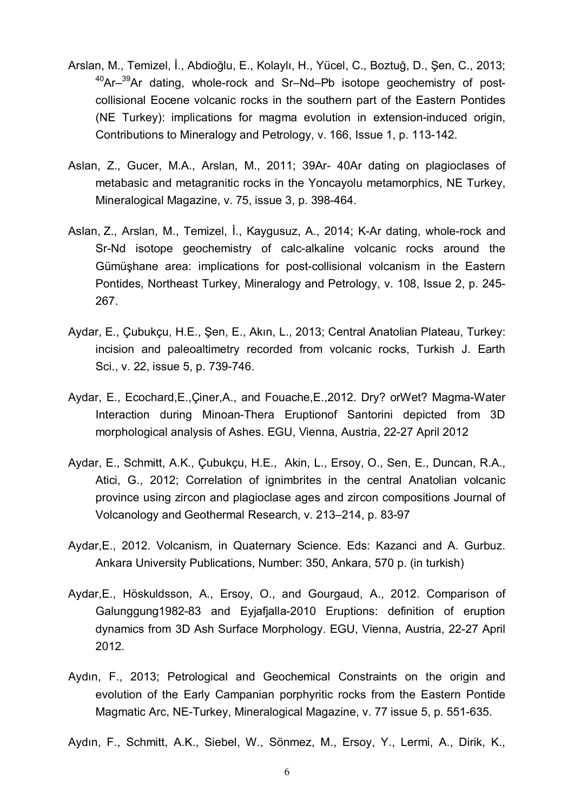- Arslan, M., Temizel, İ., Abdioğlu, E., Kolaylı, H., Yücel, C., Boztuğ, D., Şen, C., 2013; <sup>40</sup>Ar<sup>-39</sup>Ar dating, whole-rock and Sr-Nd-Pb isotope geochemistry of postcollisional Eocene volcanic rocks in the southern part of the Eastern Pontides (NE Turkey): implications for magma evolution in extension-induced origin, [Contributions to Mineralogy and Petrology,](http://link.springer.com/journal/410) v. 166, [Issue 1,](http://link.springer.com/journal/410/166/1/page/1) p. 113-142.
- Aslan, Z., Gucer, M.A., Arslan, M., 2011; 39Ar- 40Ar dating on plagioclases of metabasic and metagranitic rocks in the Yoncayolu metamorphics, NE Turkey, Mineralogical Magazine, v. 75, issue 3, p. 398-464.
- [Aslan,](http://www.sciencedirect.com/science/article/pii/S0375674211001701) Z., [Arslan,](http://www.sciencedirect.com/science/article/pii/S0375674211001701) M., [Temizel,](http://www.sciencedirect.com/science/article/pii/S0375674211001701) İ., Kaygusuz, A., 2014; K-Ar dating, whole-rock and Sr-Nd isotope geochemistry of calc-alkaline volcanic rocks around the Gümüşhane area: implications for post-collisional volcanism in the Eastern Pontides, Northeast Turkey, [Mineralogy and Petrology,](http://link.springer.com/journal/710) [v. 108,](http://www.sciencedirect.com/science/journal/03756742/112/supp/C) [Issue](http://link.springer.com/journal/710/103/1/page/1) 2, p. 245- 267.
- Aydar, E., Çubukçu, H.E., Şen, E., Akın, L., 2013; Central Anatolian Plateau, Turkey: incision and paleoaltimetry recorded from volcanic rocks, Turkish J. Earth Sci., v. 22, issue 5, p. 739-746.
- Aydar, E., Ecochard,E.,Çiner,A., and Fouache,E.,2012. Dry? orWet? Magma-Water Interaction during Minoan-Thera Eruptionof Santorini depicted from 3D morphological analysis of Ashes. EGU, Vienna, Austria, 22-27 April 2012
- Aydar, E., Schmitt, A.K., Çubukçu, H.E., Akin, L., Ersoy, O., Sen, E., Duncan, R.A., Atici, G., 2012; Correlation of ignimbrites in the central Anatolian volcanic province using zircon and plagioclase ages and zircon compositions Journal of Volcanology and Geothermal Research, v. 213–214, p. 83-97
- Aydar,E., 2012. Volcanism, in Quaternary Science. Eds: Kazanci and A. Gurbuz. Ankara University Publications, Number: 350, Ankara, 570 p. (in turkish)
- Aydar,E., Höskuldsson, A., Ersoy, O., and Gourgaud, A., 2012. Comparison of Galunggung1982-83 and Eyjafjalla-2010 Eruptions: definition of eruption dynamics from 3D Ash Surface Morphology. EGU, Vienna, Austria, 22-27 April 2012.
- Aydın, F., 2013; Petrological and Geochemical Constraints on the origin and evolution of the Early Campanian porphyritic rocks from the Eastern Pontide Magmatic Arc, NE-Turkey, Mineralogical Magazine, v. 77 issue 5, p. 551-635.
- Aydın, F., Schmitt, A.K., Siebel, W., Sönmez, M., Ersoy, Y., Lermi, A., Dirik, K.,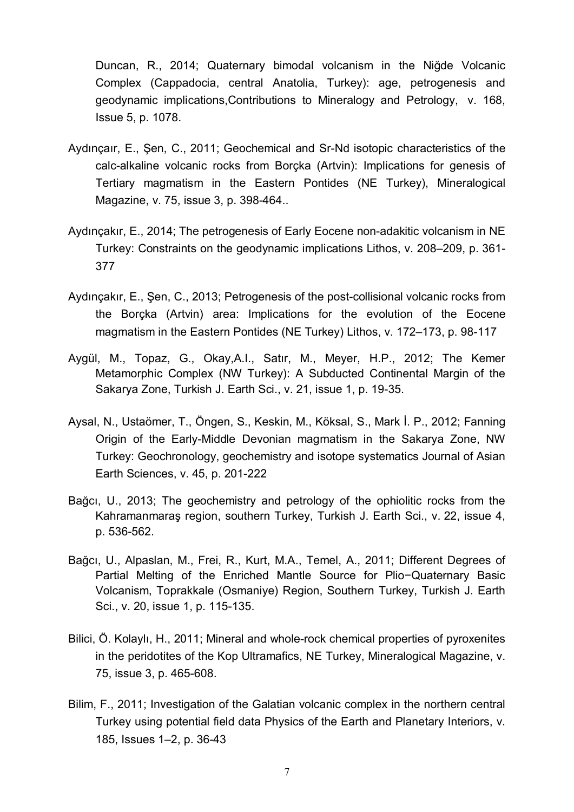Duncan, R., 2014; Quaternary bimodal volcanism in the Niğde Volcanic Complex (Cappadocia, central Anatolia, Turkey): age, petrogenesis and geodynamic implications,[Contributions to Mineralogy and Petrology,](http://link.springer.com/journal/410) v. 168, Issue 5, p. 1078.

- Aydınçaır, E., Şen, C., 2011; Geochemical and Sr-Nd isotopic characteristics of the calc-alkaline volcanic rocks from Borçka (Artvin): Implications for genesis of Tertiary magmatism in the Eastern Pontides (NE Turkey), Mineralogical Magazine, v. 75, issue 3, p. 398-464..
- Aydınçakır, E., 2014; The petrogenesis of Early Eocene non-adakitic volcanism in NE Turkey: Constraints on the geodynamic implications Lithos, v. 208–209, p. 361- 377
- Aydınçakır, E., Şen, C., 2013; Petrogenesis of the post-collisional volcanic rocks from the Borçka (Artvin) area: Implications for the evolution of the Eocene magmatism in the Eastern Pontides (NE Turkey) Lithos, v. 172–173, p. 98-117
- Aygül, M., Topaz, G., Okay,A.I., Satır, M., Meyer, H.P., 2012; The Kemer Metamorphic Complex (NW Turkey): A Subducted Continental Margin of the Sakarya Zone, Turkish J. Earth Sci., v. 21, issue 1, p. 19-35.
- Aysal, N., Ustaömer, T., Öngen, S., Keskin, M., Köksal, S., Mark İ. P., 2012; Fanning Origin of the Early-Middle Devonian magmatism in the Sakarya Zone, NW Turkey: Geochronology, geochemistry and isotope systematics Journal of Asian Earth Sciences, v. 45, p. 201-222
- Bağcı, U., 2013; The geochemistry and petrology of the ophiolitic rocks from the Kahramanmaraş region, southern Turkey, Turkish J. Earth Sci., v. 22, issue 4, p. 536-562.
- Bağcı, U., Alpaslan, M., Frei, R., Kurt, M.A., Temel, A., 2011; Different Degrees of Partial Melting of the Enriched Mantle Source for Plio−Quaternary Basic Volcanism, Toprakkale (Osmaniye) Region, Southern Turkey, Turkish J. Earth Sci., v. 20, issue 1, p. 115-135.
- Bilici, Ö. Kolaylı, H., 2011; Mineral and whole-rock chemical properties of pyroxenites in the peridotites of the Kop Ultramafics, NE Turkey, Mineralogical Magazine, v. 75, issue 3, p. 465-608.
- Bilim, F., 2011; Investigation of the Galatian volcanic complex in the northern central Turkey using potential field data Physics of the Earth and Planetary Interiors, v. 185, Issues 1–2, p. 36-43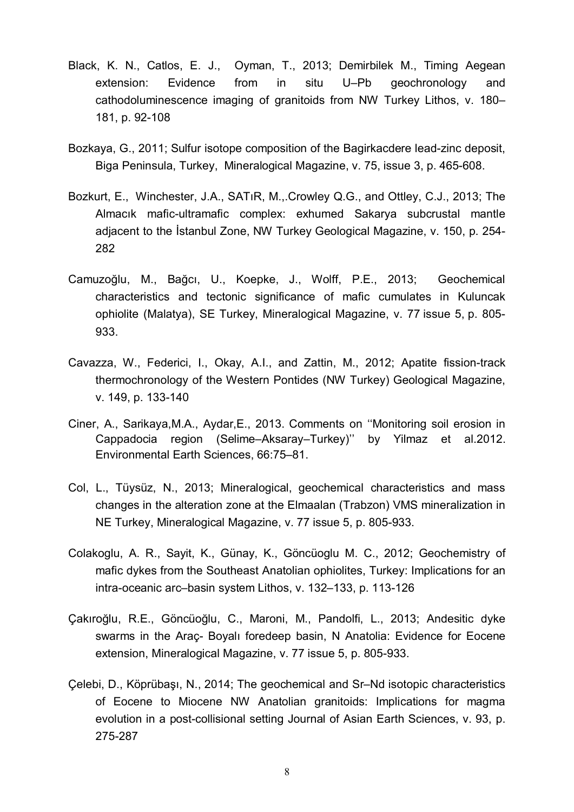- Black, K. N., Catlos, E. J., Oyman, T., 2013; Demirbilek M., Timing Aegean extension: Evidence from in situ U–Pb geochronology and cathodoluminescence imaging of granitoids from NW Turkey Lithos, v. 180– 181, p. 92-108
- Bozkaya, G., 2011; Sulfur isotope composition of the Bagirkacdere lead-zinc deposit, Biga Peninsula, Turkey, Mineralogical Magazine, v. 75, issue 3, p. 465-608.
- Bozkurt, E., Winchester, J.A., SATıR, M.,.Crowley Q.G., and Ottley, C.J., 2013; The Almacık mafic-ultramafic complex: exhumed Sakarya subcrustal mantle adjacent to the İstanbul Zone, NW Turkey Geological Magazine, v. 150, p. 254- 282
- Camuzoğlu, M., Bağcı, U., Koepke, J., Wolff, P.E., 2013; Geochemical characteristics and tectonic significance of mafic cumulates in Kuluncak ophiolite (Malatya), SE Turkey, Mineralogical Magazine, v. 77 issue 5, p. 805- 933.
- Cavazza, W., Federici, I., Okay, A.I., and Zattin, M., 2012; Apatite fission-track thermochronology of the Western Pontides (NW Turkey) Geological Magazine, v. 149, p. 133-140
- Ciner, A., Sarikaya,M.A., Aydar,E., 2013. Comments on ''Monitoring soil erosion in Cappadocia region (Selime–Aksaray–Turkey)'' by Yilmaz et al.2012. Environmental Earth Sciences, 66:75–81.
- Col, L., Tüysüz, N., 2013; Mineralogical, geochemical characteristics and mass changes in the alteration zone at the Elmaalan (Trabzon) VMS mineralization in NE Turkey, Mineralogical Magazine, v. 77 issue 5, p. 805-933.
- Colakoglu, A. R., Sayit, K., Günay, K., Göncüoglu M. C., 2012; Geochemistry of mafic dykes from the Southeast Anatolian ophiolites, Turkey: Implications for an intra-oceanic arc–basin system Lithos, v. 132–133, p. 113-126
- Çakıroğlu, R.E., Göncüoğlu, C., Maroni, M., Pandolfi, L., 2013; Andesitic dyke swarms in the Araç- Boyalı foredeep basin, N Anatolia: Evidence for Eocene extension, Mineralogical Magazine, v. 77 issue 5, p. 805-933.
- Çelebi, D., Köprübaşı, N., 2014; The geochemical and Sr–Nd isotopic characteristics of Eocene to Miocene NW Anatolian granitoids: Implications for magma evolution in a post-collisional setting Journal of Asian Earth Sciences, v. 93, p. 275-287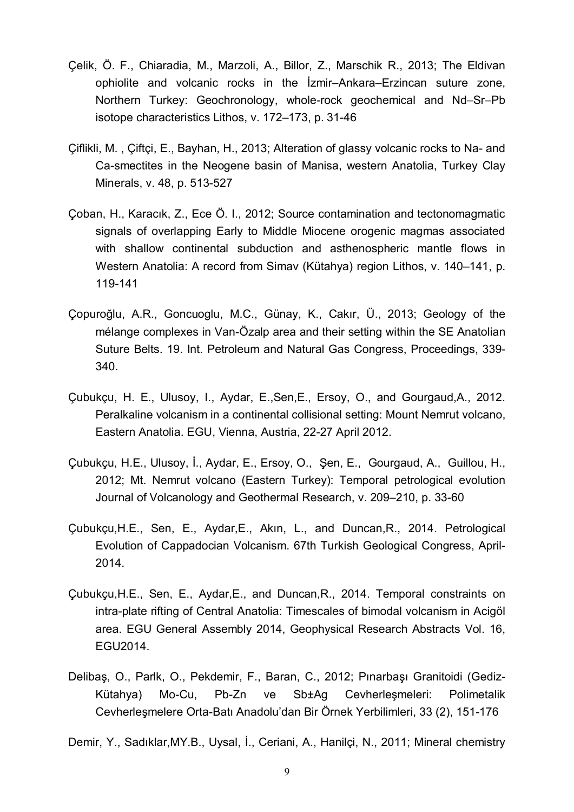- Çelik, Ö. F., Chiaradia, M., Marzoli, A., Billor, Z., Marschik R., 2013; The Eldivan ophiolite and volcanic rocks in the İzmir–Ankara–Erzincan suture zone, Northern Turkey: Geochronology, whole-rock geochemical and Nd–Sr–Pb isotope characteristics Lithos, v. 172–173, p. 31-46
- Çiflikli, M. , Çiftçi, E., Bayhan, H., 2013; Alteration of glassy volcanic rocks to Na- and Ca-smectites in the Neogene basin of Manisa, western Anatolia, Turkey Clay Minerals, v. 48, p. 513-527
- Çoban, H., Karacık, Z., Ece Ö. I., 2012; Source contamination and tectonomagmatic signals of overlapping Early to Middle Miocene orogenic magmas associated with shallow continental subduction and asthenospheric mantle flows in Western Anatolia: A record from Simav (Kütahya) region Lithos, v. 140–141, p. 119-141
- Çopuroğlu, A.R., Goncuoglu, M.C., Günay, K., Cakır, Ü., 2013; Geology of the mélange complexes in Van-Özalp area and their setting within the SE Anatolian Suture Belts. 19. Int. Petroleum and Natural Gas Congress, Proceedings, 339- 340.
- Çubukçu, H. E., Ulusoy, I., Aydar, E.,Sen,E., Ersoy, O., and Gourgaud,A., 2012. Peralkaline volcanism in a continental collisional setting: Mount Nemrut volcano, Eastern Anatolia. EGU, Vienna, Austria, 22-27 April 2012.
- Çubukçu, H.E., Ulusoy, İ., Aydar, E., Ersoy, O., Şen, E., Gourgaud, A., Guillou, H., 2012; Mt. Nemrut volcano (Eastern Turkey): Temporal petrological evolution Journal of Volcanology and Geothermal Research, v. 209–210, p. 33-60
- Çubukçu,H.E., Sen, E., Aydar,E., Akın, L., and Duncan,R., 2014. Petrological Evolution of Cappadocian Volcanism. 67th Turkish Geological Congress, April-2014.
- Çubukçu,H.E., Sen, E., Aydar,E., and Duncan,R., 2014. Temporal constraints on intra-plate rifting of Central Anatolia: Timescales of bimodal volcanism in Acigöl area. EGU General Assembly 2014, Geophysical Research Abstracts Vol. 16, EGU2014.
- Delibaş, O., Parlk, O., Pekdemir, F., Baran, C., 2012; Pınarbaşı Granitoidi (Gediz-Kütahya) Mo-Cu, Pb-Zn ve Sb±Ag Cevherleşmeleri: Polimetalik Cevherleşmelere Orta-Batı Anadolu'dan Bir Örnek Yerbilimleri, 33 (2), 151-176

Demir, Y., Sadıklar,MY.B., Uysal, İ., Ceriani, A., Hanilçi, N., 2011; Mineral chemistry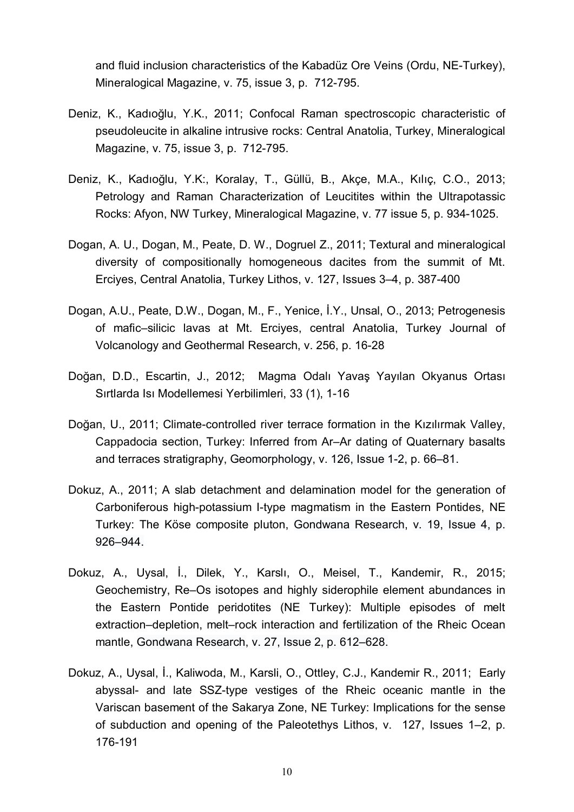and fluid inclusion characteristics of the Kabadüz Ore Veins (Ordu, NE-Turkey), Mineralogical Magazine, v. 75, issue 3, p. 712-795.

- Deniz, K., Kadıoğlu, Y.K., 2011; Confocal Raman spectroscopic characteristic of pseudoleucite in alkaline intrusive rocks: Central Anatolia, Turkey, Mineralogical Magazine, v. 75, issue 3, p. 712-795.
- Deniz, K., Kadıoğlu, Y.K:, Koralay, T., Güllü, B., Akçe, M.A., Kılıç, C.O., 2013; Petrology and Raman Characterization of Leucitites within the Ultrapotassic Rocks: Afyon, NW Turkey, Mineralogical Magazine, v. 77 issue 5, p. 934-1025.
- Dogan, A. U., Dogan, M., Peate, D. W., Dogruel Z., 2011; Textural and mineralogical diversity of compositionally homogeneous dacites from the summit of Mt. Erciyes, Central Anatolia, Turkey Lithos, v. 127, Issues 3–4, p. 387-400
- Dogan, A.U., Peate, D.W., Dogan, M., F., Yenice, İ.Y., Unsal, O., 2013; Petrogenesis of mafic–silicic lavas at Mt. Erciyes, central Anatolia, Turkey Journal of Volcanology and Geothermal Research, v. 256, p. 16-28
- Doğan, D.D., Escartin, J., 2012; Magma Odalı Yavaş Yayılan Okyanus Ortası Sırtlarda Isı Modellemesi Yerbilimleri, 33 (1), 1-16
- Doğan, U., 2011; Climate-controlled river terrace formation in the Kızılırmak Valley, Cappadocia section, Turkey: Inferred from Ar–Ar dating of Quaternary basalts and terraces stratigraphy, [Geomorphology,](http://www.sciencedirect.com/science/journal/0169555X) [v. 126, Issue 1-2,](http://www.sciencedirect.com/science/journal/03756742/112/supp/C) p. 66–81.
- Dokuz, A., 2011; A slab detachment and delamination model for the generation of Carboniferous high-potassium I-type magmatism in the Eastern Pontides, NE Turkey: The Köse composite pluton, [Gondwana Research,](http://www.sciencedirect.com/science/journal/1342937X) [v. 19, Issue 4,](http://www.sciencedirect.com/science/journal/1342937X/19/2) p. 926–944.
- Dokuz, A., Uysal, İ., Dilek, Y., Karslı, O., Meisel, T., Kandemir, R., 2015; Geochemistry, Re–Os isotopes and highly siderophile element abundances in the Eastern Pontide peridotites (NE Turkey): Multiple episodes of melt extraction–depletion, melt–rock interaction and fertilization of the Rheic Ocean mantle, [Gondwana Research,](http://www.sciencedirect.com/science/journal/1342937X) [v. 27, Issue 2,](http://www.sciencedirect.com/science/journal/1342937X/27/2) p. 612–628.
- Dokuz, A., Uysal, İ., Kaliwoda, M., Karsli, O., Ottley, C.J., Kandemir R., 2011; Early abyssal- and late SSZ-type vestiges of the Rheic oceanic mantle in the Variscan basement of the Sakarya Zone, NE Turkey: Implications for the sense of subduction and opening of the Paleotethys Lithos, v. 127, Issues 1–2, p. 176-191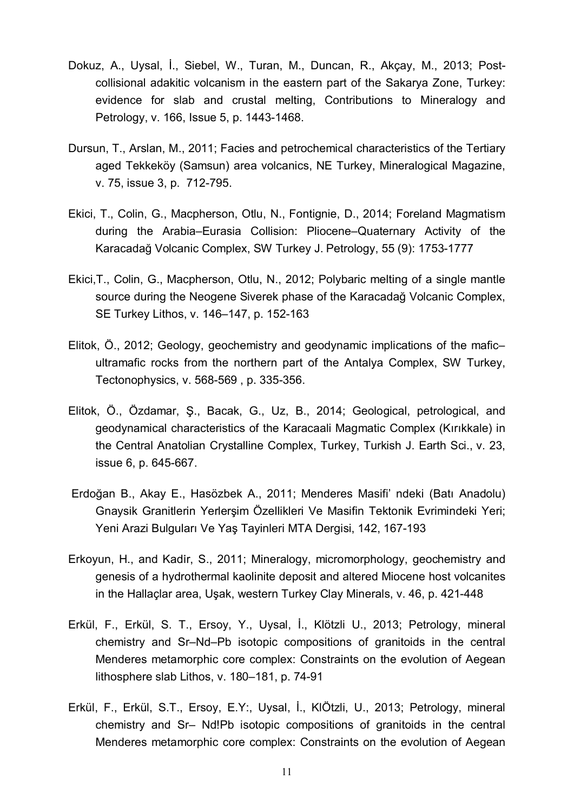- Dokuz, A., Uysal, İ., Siebel, W., Turan, M., Duncan, R., Akçay, M., 2013; Postcollisional adakitic volcanism in the eastern part of the Sakarya Zone, Turkey: evidence for slab and crustal melting, [Contributions to Mineralogy and](http://link.springer.com/journal/410) [Petrology,](http://link.springer.com/journal/410) v. 166, [Issue 5,](http://link.springer.com/journal/410/166/5/page/1) p. 1443-1468.
- Dursun, T., Arslan, M., 2011; Facies and petrochemical characteristics of the Tertiary aged Tekkeköy (Samsun) area volcanics, NE Turkey, Mineralogical Magazine, v. 75, issue 3, p. 712-795.
- Ekici, T., Colin, G., Macpherson, Otlu, N., Fontignie, D., 2014; Foreland Magmatism during the Arabia–Eurasia Collision: Pliocene–Quaternary Activity of the Karacadağ Volcanic Complex, SW Turkey J. Petrology, 55 (9): 1753-1777
- Ekici,T., Colin, G., Macpherson, Otlu, N., 2012; Polybaric melting of a single mantle source during the Neogene Siverek phase of the Karacadağ Volcanic Complex, SE Turkey Lithos, v. 146–147, p. 152-163
- Elitok, Ö., 2012; [Geology, geochemistry and geodynamic implications of the mafic–](http://www.sciencedirect.com/science/article/pii/S0040195111003532) [ultramafic rocks from the northern part of the Antalya Complex, SW Turkey,](http://www.sciencedirect.com/science/article/pii/S0040195111003532) [Tectonophysics,](http://www.sciencedirect.com/science/journal/00401951) [v. 568-569 ,](http://www.sciencedirect.com/science/journal/03756742/112/supp/C) p. 335-356.
- Elitok, Ö., Özdamar, Ş., Bacak, G., Uz, B., 2014; Geological, petrological, and geodynamical characteristics of the Karacaali Magmatic Complex (Kırıkkale) in the Central Anatolian Crystalline Complex, Turkey, Turkish J. Earth Sci., v. 23, issue 6, p. 645-667.
- Erdoğan B., Akay E., Hasözbek A., 2011; Menderes Masifi' ndeki (Batı Anadolu) Gnaysik Granitlerin Yerlerşim Özellikleri Ve Masifin Tektonik Evrimindeki Yeri; Yeni Arazi Bulguları Ve Yaş Tayinleri MTA Dergisi, 142, 167-193
- Erkoyun, H., and Kadı̇r, S., 2011; Mineralogy, micromorphology, geochemistry and genesis of a hydrothermal kaolinite deposit and altered Miocene host volcanites in the Hallaçlar area, Uşak, western Turkey Clay Minerals, v. 46, p. 421-448
- Erkül, F., Erkül, S. T., Ersoy, Y., Uysal, İ., Klötzli U., 2013; Petrology, mineral chemistry and Sr–Nd–Pb isotopic compositions of granitoids in the central Menderes metamorphic core complex: Constraints on the evolution of Aegean lithosphere slab Lithos, v. 180–181, p. 74-91
- Erkül, F., Erkül, S.T., Ersoy, E.Y:, Uysal, İ., KlÖtzli, U., 2013; Petrology, mineral chemistry and Sr– Nd!Pb isotopic compositions of granitoids in the central Menderes metamorphic core complex: Constraints on the evolution of Aegean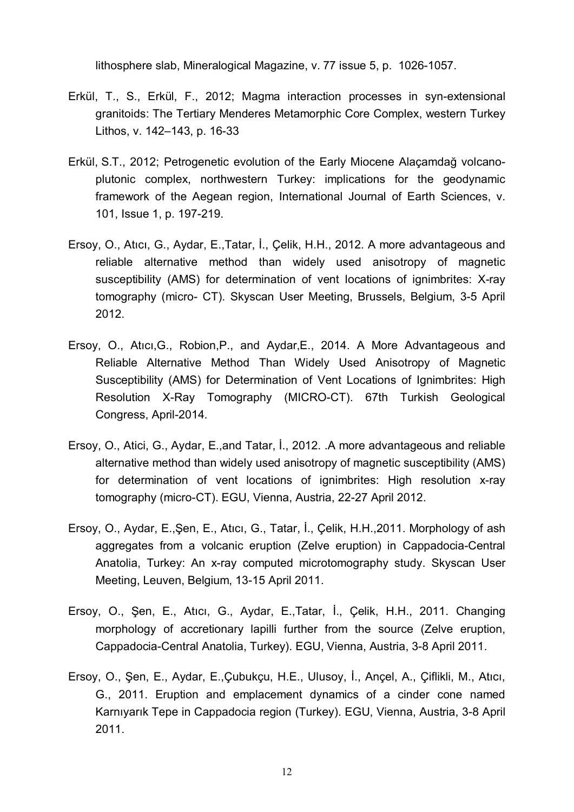lithosphere slab, Mineralogical Magazine, v. 77 issue 5, p. 1026-1057.

- Erkül, T., S., Erkül, F., 2012; Magma interaction processes in syn-extensional granitoids: The Tertiary Menderes Metamorphic Core Complex, western Turkey Lithos, v. 142–143, p. 16-33
- [Erkül,](http://www.sciencedirect.com/science/article/pii/S0375674211001701) S.T., 2012; Petrogenetic evolution of the Early Miocene Alaçamdağ volcanoplutonic complex, northwestern Turkey: implications for the geodynamic framework of the Aegean region, [International Journal of Earth Sciences,](http://link.springer.com/journal/531) [v.](http://www.sciencedirect.com/science/journal/03756742/112/supp/C) [101,](http://www.sciencedirect.com/science/journal/03756742/112/supp/C) [Issue](http://link.springer.com/journal/710/103/1/page/1) 1, p. 197-219.
- Ersoy, O., Atıcı, G., Aydar, E.,Tatar, İ., Çelik, H.H., 2012. A more advantageous and reliable alternative method than widely used anisotropy of magnetic susceptibility (AMS) for determination of vent locations of ignimbrites: X-ray tomography (micro- CT). Skyscan User Meeting, Brussels, Belgium, 3-5 April 2012.
- Ersoy, O., Atıcı,G., Robion,P., and Aydar,E., 2014. A More Advantageous and Reliable Alternative Method Than Widely Used Anisotropy of Magnetic Susceptibility (AMS) for Determination of Vent Locations of Ignimbrites: High Resolution X-Ray Tomography (MICRO-CT). 67th Turkish Geological Congress, April-2014.
- Ersoy, O., Atici, G., Aydar, E.,and Tatar, İ., 2012. .A more advantageous and reliable alternative method than widely used anisotropy of magnetic susceptibility (AMS) for determination of vent locations of ignimbrites: High resolution x-ray tomography (micro-CT). EGU, Vienna, Austria, 22-27 April 2012.
- Ersoy, O., Aydar, E.,Şen, E., Atıcı, G., Tatar, İ., Çelik, H.H.,2011. Morphology of ash aggregates from a volcanic eruption (Zelve eruption) in Cappadocia-Central Anatolia, Turkey: An x-ray computed microtomography study. Skyscan User Meeting, Leuven, Belgium, 13-15 April 2011.
- Ersoy, O., Şen, E., Atıcı, G., Aydar, E.,Tatar, İ., Çelik, H.H., 2011. Changing morphology of accretionary lapilli further from the source (Zelve eruption, Cappadocia-Central Anatolia, Turkey). EGU, Vienna, Austria, 3-8 April 2011.
- Ersoy, O., Şen, E., Aydar, E.,Çubukçu, H.E., Ulusoy, İ., Ançel, A., Çiflikli, M., Atıcı, G., 2011. Eruption and emplacement dynamics of a cinder cone named Karnıyarık Tepe in Cappadocia region (Turkey). EGU, Vienna, Austria, 3-8 April 2011.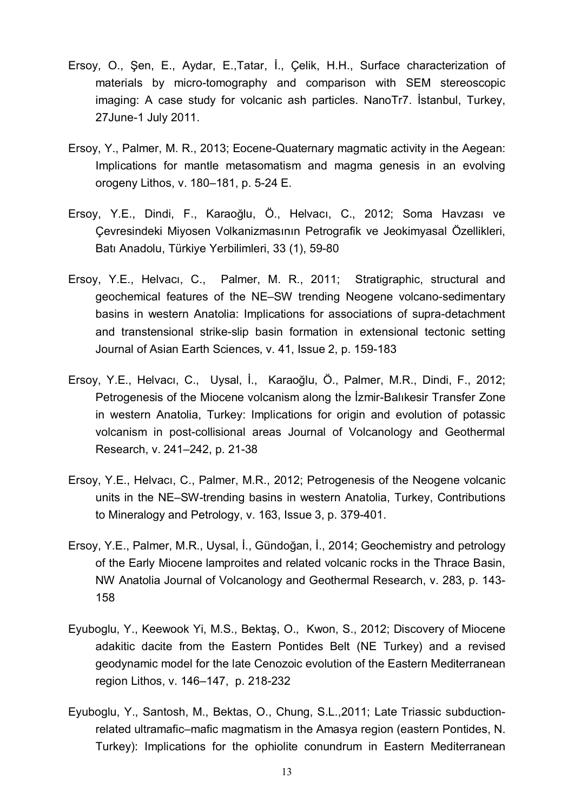- Ersoy, O., Şen, E., Aydar, E.,Tatar, İ., Çelik, H.H., Surface characterization of materials by micro-tomography and comparison with SEM stereoscopic imaging: A case study for volcanic ash particles. NanoTr7. İstanbul, Turkey, 27June-1 July 2011.
- Ersoy, Y., Palmer, M. R., 2013; Eocene-Quaternary magmatic activity in the Aegean: Implications for mantle metasomatism and magma genesis in an evolving orogeny Lithos, v. 180–181, p. 5-24 E.
- Ersoy, Y.E., Dindi, F., Karaoğlu, Ö., Helvacı, C., 2012; Soma Havzası ve Çevresindeki Miyosen Volkanizmasının Petrografik ve Jeokimyasal Özellikleri, Batı Anadolu, Türkiye Yerbilimleri, 33 (1), 59-80
- Ersoy, Y.E., Helvacı, C., Palmer, M. R., 2011; Stratigraphic, structural and geochemical features of the NE–SW trending Neogene volcano-sedimentary basins in western Anatolia: Implications for associations of supra-detachment and transtensional strike-slip basin formation in extensional tectonic setting Journal of Asian Earth Sciences, v. 41, Issue 2, p. 159-183
- Ersoy, Y.E., Helvacı, C., Uysal, İ., Karaoğlu, Ö., Palmer, M.R., Dindi, F., 2012; Petrogenesis of the Miocene volcanism along the İzmir-Balıkesir Transfer Zone in western Anatolia, Turkey: Implications for origin and evolution of potassic volcanism in post-collisional areas Journal of Volcanology and Geothermal Research, v. 241–242, p. 21-38
- Ersoy, Y.E., Helvacı, C., Palmer, M.R., 2012; Petrogenesis of the Neogene volcanic units in the NE–SW-trending basins in western Anatolia, Turkey, [Contributions](http://link.springer.com/journal/410) [to Mineralogy and Petrology,](http://link.springer.com/journal/410) v. 163, Issue 3, p. 379-401.
- Ersoy, Y.E., Palmer, M.R., Uysal, İ., Gündoğan, İ., 2014; Geochemistry and petrology of the Early Miocene lamproites and related volcanic rocks in the Thrace Basin, NW Anatolia Journal of Volcanology and Geothermal Research, v. 283, p. 143- 158
- Eyuboglu, Y., Keewook Yi, M.S., Bektaş, O., Kwon, S., 2012; Discovery of Miocene adakitic dacite from the Eastern Pontides Belt (NE Turkey) and a revised geodynamic model for the late Cenozoic evolution of the Eastern Mediterranean region Lithos, v. 146–147, p. 218-232
- Eyuboglu, Y., Santosh, M., Bektas, O., Chung, S.L.,2011; Late Triassic subductionrelated ultramafic–mafic magmatism in the Amasya region (eastern Pontides, N. Turkey): Implications for the ophiolite conundrum in Eastern Mediterranean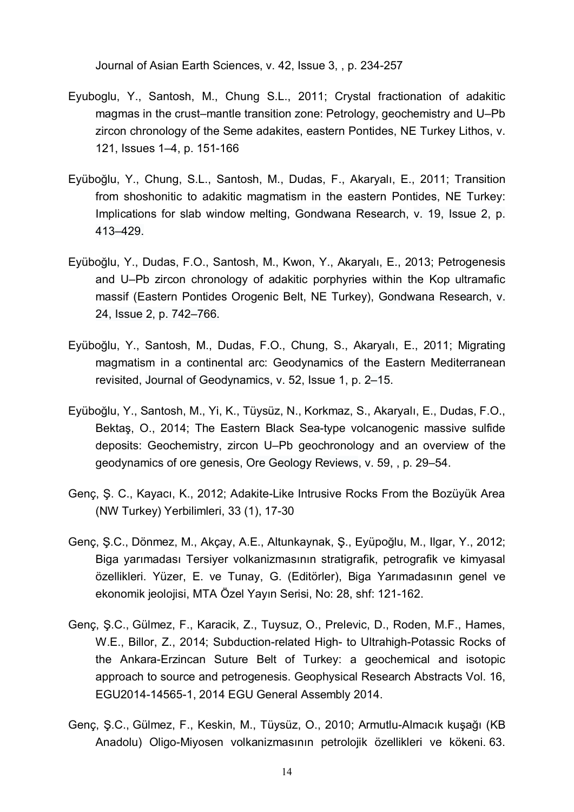Journal of Asian Earth Sciences, v. 42, Issue 3, , p. 234-257

- Eyuboglu, Y., Santosh, M., Chung S.L., 2011; Crystal fractionation of adakitic magmas in the crust–mantle transition zone: Petrology, geochemistry and U–Pb zircon chronology of the Seme adakites, eastern Pontides, NE Turkey Lithos, v. 121, Issues 1–4, p. 151-166
- Eyüboğlu, Y., Chung, S.L., Santosh, M., Dudas, F., Akaryalı, E., 2011; Transition from shoshonitic to adakitic magmatism in the eastern Pontides, NE Turkey: Implications for slab window melting, [Gondwana Research,](http://www.sciencedirect.com/science/journal/1342937X) [v. 19, Issue 2,](http://www.sciencedirect.com/science/journal/1342937X/19/2) p. 413–429.
- Eyüboğlu, Y., Dudas, F.O., Santosh, M., Kwon, Y., Akaryalı, E., 2013; Petrogenesis and U–Pb zircon chronology of adakitic porphyries within the Kop ultramafic massif (Eastern Pontides Orogenic Belt, NE Turkey), [Gondwana Research,](http://www.sciencedirect.com/science/journal/1342937X) [v.](http://www.sciencedirect.com/science/journal/1342937X/24/2) [24, Issue 2,](http://www.sciencedirect.com/science/journal/1342937X/24/2) p. 742–766.
- Eyüboğlu, Y., Santosh, M., Dudas, F.O., Chung, S., Akaryalı, E., 2011; Migrating magmatism in a continental arc: Geodynamics of the Eastern Mediterranean revisited, [Journal of Geodynamics,](http://www.sciencedirect.com/science/journal/02643707) [v. 52,](http://www.sciencedirect.com/science/journal/03756742/112/supp/C) Issue 1, p. 2–15.
- [Eyübo](http://www.sciencedirect.com/science/article/pii/S0375674211001701)ğlu, Y., [Santosh,](http://www.sciencedirect.com/science/article/pii/S0375674211001701) M., [Yi,](http://www.sciencedirect.com/science/article/pii/S0375674211001701) K., Tüysüz, N., Korkmaz, S., Akaryalı, E., Dudas, F.O., Bektaş, O., 2014; The Eastern Black Sea-type volcanogenic massive sulfide deposits: Geochemistry, zircon U–Pb geochronology and an overview of the geodynamics of ore genesis, [Ore Geology Reviews,](http://www.sciencedirect.com/science/journal/01691368) [v. 59,](http://www.sciencedirect.com/science/journal/03756742/112/supp/C) , p. 29–54.
- Genç, Ş. C., Kayacı, K., 2012; Adakite-Like Intrusive Rocks From the Bozüyük Area (NW Turkey) Yerbilimleri, 33 (1), 17-30
- Genç, Ş.C., Dönmez, M., Akçay, A.E., Altunkaynak, Ş., Eyüpoğlu, M., Ilgar, Y., 2012; Biga yarımadası Tersiyer volkanizmasının stratigrafik, petrografik ve kimyasal özellikleri. Yüzer, E. ve Tunay, G. (Editörler), Biga Yarımadasının genel ve ekonomik jeolojisi, MTA Özel Yayın Serisi, No: 28, shf: 121-162.
- Genç, Ş.C., Gülmez, F., Karacik, Z., Tuysuz, O., Prelevic, D., Roden, M.F., Hames, W.E., Billor, Z., 2014; Subduction-related High- to Ultrahigh-Potassic Rocks of the Ankara-Erzincan Suture Belt of Turkey: a geochemical and isotopic approach to source and petrogenesis. Geophysical Research Abstracts Vol. 16, EGU2014-14565-1, 2014 EGU General Assembly 2014.
- Genç, Ş.C., Gülmez, F., Keskin, M., Tüysüz, O., 2010; Armutlu-Almacık kuşağı (KB Anadolu) Oligo-Miyosen volkanizmasının petrolojik özellikleri ve kökeni. 63.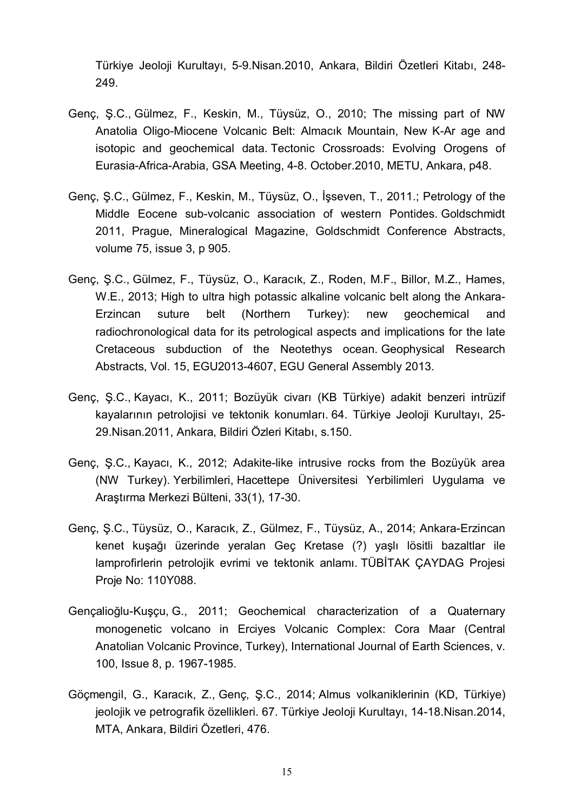Türkiye Jeoloji Kurultayı, 5-9.Nisan.2010, Ankara, Bildiri Özetleri Kitabı, 248- 249.

- Genç, Ş.C., Gülmez, F., Keskin, M., Tüysüz, O., 2010; The missing part of NW Anatolia Oligo-Miocene Volcanic Belt: Almacık Mountain, New K-Ar age and isotopic and geochemical data. Tectonic Crossroads: Evolving Orogens of Eurasia-Africa-Arabia, GSA Meeting, 4-8. October.2010, METU, Ankara, p48.
- Genç, Ş.C., Gülmez, F., Keskin, M., Tüysüz, O., İşseven, T., 2011.; Petrology of the Middle Eocene sub-volcanic association of western Pontides. Goldschmidt 2011, Prague, Mineralogical Magazine, Goldschmidt Conference Abstracts, volume 75, issue 3, p 905.
- Genç, Ş.C., Gülmez, F., Tüysüz, O., Karacık, Z., Roden, M.F., Billor, M.Z., Hames, W.E., 2013; High to ultra high potassic alkaline volcanic belt along the Ankara-Erzincan suture belt (Northern Turkey): new geochemical and radiochronological data for its petrological aspects and implications for the late Cretaceous subduction of the Neotethys ocean. Geophysical Research Abstracts, Vol. 15, EGU2013-4607, EGU General Assembly 2013.
- Genç, Ş.C., Kayacı, K., 2011; Bozüyük civarı (KB Türkiye) adakit benzeri intrüzif kayalarının petrolojisi ve tektonik konumları. 64. Türkiye Jeoloji Kurultayı, 25- 29.Nisan.2011, Ankara, Bildiri Özleri Kitabı, s.150.
- Genç, Ş.C., Kayacı, K., 2012; Adakite-like intrusive rocks from the Bozüyük area (NW Turkey). Yerbilimleri, Hacettepe Üniversitesi Yerbilimleri Uygulama ve Araştırma Merkezi Bülteni, 33(1), 17-30.
- Genç, Ş.C., Tüysüz, O., Karacık, Z., Gülmez, F., Tüysüz, A., 2014; Ankara-Erzincan kenet kuşağı üzerinde yeralan Geç Kretase (?) yaşlı lösitli bazaltlar ile lamprofirlerin petrolojik evrimi ve tektonik anlamı. TÜBİTAK ÇAYDAG Projesi Proje No: 110Y088.
- [Gençalio](http://www.sciencedirect.com/science/article/pii/S0375674211001701)ğlu-Kuşçu, G., 2011; Geochemical characterization of a Quaternary monogenetic volcano in Erciyes Volcanic Complex: Cora Maar (Central Anatolian Volcanic Province, Turkey), [International Journal of Earth Sciences,](http://link.springer.com/journal/531) [v.](http://www.sciencedirect.com/science/journal/03756742/112/supp/C) [100,](http://www.sciencedirect.com/science/journal/03756742/112/supp/C) [Issue](http://link.springer.com/journal/710/103/1/page/1) 8, p. 1967-1985.
- Göçmengil, G., Karacık, Z., Genç, Ş.C., 2014; Almus volkaniklerinin (KD, Türkiye) jeolojik ve petrografik özellikleri. 67. Türkiye Jeoloji Kurultayı, 14-18.Nisan.2014, MTA, Ankara, Bildiri Özetleri, 476.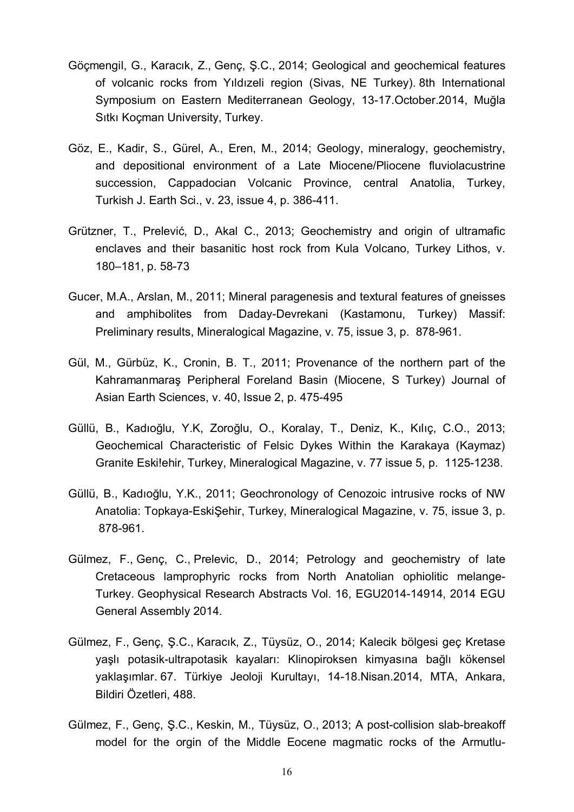- Göçmengil, G., Karacık, Z., Genç, Ş.C., 2014; Geological and geochemical features of volcanic rocks from Yıldızeli region (Sivas, NE Turkey). 8th International Symposium on Eastern Mediterranean Geology, 13-17.October.2014, Muğla Sıtkı Koçman University, Turkey.
- Göz, E., Kadir, S., Gürel, A., Eren, M., 2014; Geology, mineralogy, geochemistry, and depositional environment of a Late Miocene/Pliocene fluviolacustrine succession, Cappadocian Volcanic Province, central Anatolia, Turkey, Turkish J. Earth Sci., v. 23, issue 4, p. 386-411.
- Grützner, T., Prelević, D., Akal C., 2013; Geochemistry and origin of ultramafic enclaves and their basanitic host rock from Kula Volcano, Turkey Lithos, v. 180–181, p. 58-73
- Gucer, M.A., Arslan, M., 2011; Mineral paragenesis and textural features of gneisses and amphibolites from Daday-Devrekani (Kastamonu, Turkey) Massif: Preliminary results, Mineralogical Magazine, v. 75, issue 3, p. 878-961.
- Gül, M., Gürbüz, K., Cronin, B. T., 2011; Provenance of the northern part of the Kahramanmaraş Peripheral Foreland Basin (Miocene, S Turkey) Journal of Asian Earth Sciences, v. 40, Issue 2, p. 475-495
- Güllü, B., Kadıoğlu, Y.K, Zoroğlu, O., Koralay, T., Deniz, K., Kılıç, C.O., 2013; Geochemical Characteristic of Felsic Dykes Within the Karakaya (Kaymaz) Granite Eski!ehir, Turkey, Mineralogical Magazine, v. 77 issue 5, p. 1125-1238.
- Güllü, B., Kadıoğlu, Y.K., 2011; Geochronology of Cenozoic intrusive rocks of NW Anatolia: Topkaya-EskiŞehir, Turkey, Mineralogical Magazine, v. 75, issue 3, p. 878-961.
- Gülmez, F., Genç, C., Prelevic, D., 2014; Petrology and geochemistry of late Cretaceous lamprophyric rocks from North Anatolian ophiolitic melange-Turkey. Geophysical Research Abstracts Vol. 16, EGU2014-14914, 2014 EGU General Assembly 2014.
- Gülmez, F., Genç, Ş.C., Karacık, Z., Tüysüz, O., 2014; Kalecik bölgesi geç Kretase yaşlı potasik-ultrapotasik kayaları: Klinopiroksen kimyasına bağlı kökensel yaklaşımlar. 67. Türkiye Jeoloji Kurultayı, 14-18.Nisan.2014, MTA, Ankara, Bildiri Özetleri, 488.
- Gülmez, F., Genç, Ş.C., Keskin, M., Tüysüz, O., 2013; A post-collision slab-breakoff model for the orgin of the Middle Eocene magmatic rocks of the Armutlu-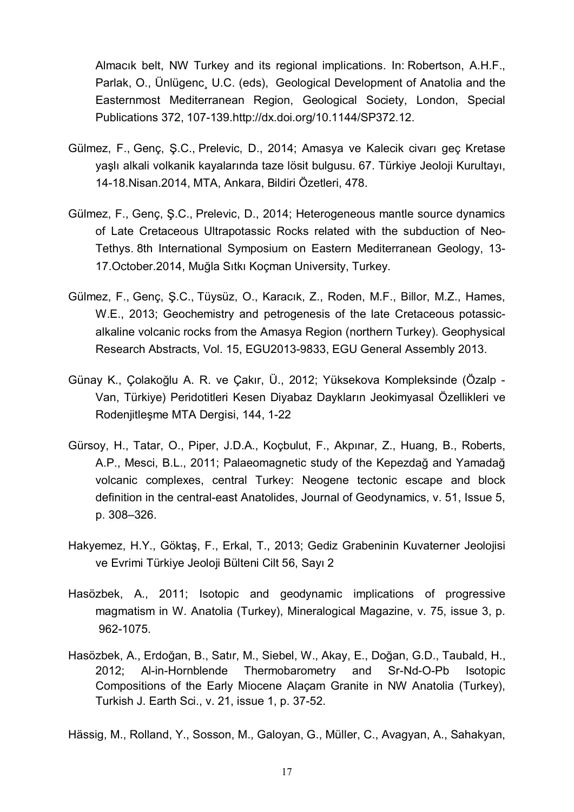Almacık belt, NW Turkey and its regional implications. In: Robertson, A.H.F., Parlak, O., Ünlügenc¸ U.C. (eds), Geological Development of Anatolia and the Easternmost Mediterranean Region, Geological Society, London, Special Publications 372, 107-139.[http://dx.doi.org/10.1144/SP372.12.](http://dx.doi.org/10.1144/SP372.12)

- Gülmez, F., Genç, Ş.C., Prelevic, D., 2014; Amasya ve Kalecik civarı geç Kretase yaşlı alkali volkanik kayalarında taze lösit bulgusu. 67. Türkiye Jeoloji Kurultayı, 14-18.Nisan.2014, MTA, Ankara, Bildiri Özetleri, 478.
- Gülmez, F., Genç, Ş.C., Prelevic, D., 2014; Heterogeneous mantle source dynamics of Late Cretaceous Ultrapotassic Rocks related with the subduction of Neo-Tethys. 8th International Symposium on Eastern Mediterranean Geology, 13- 17.October.2014, Muğla Sıtkı Koçman University, Turkey.
- Gülmez, F., Genç, Ş.C., Tüysüz, O., Karacık, Z., Roden, M.F., Billor, M.Z., Hames, W.E., 2013; Geochemistry and petrogenesis of the late Cretaceous potassicalkaline volcanic rocks from the Amasya Region (northern Turkey). Geophysical Research Abstracts, Vol. 15, EGU2013-9833, EGU General Assembly 2013.
- Günay K., Çolakoğlu A. R. ve Çakır, Ü., 2012; Yüksekova Kompleksinde (Özalp Van, Türkiye) Peridotitleri Kesen Diyabaz Daykların Jeokimyasal Özellikleri ve Rodenjitleşme MTA Dergisi, 144, 1-22
- Gürsoy, H., Tatar, O., Piper, J.D.A., Koçbulut, F., Akpınar, Z., Huang, B., Roberts, A.P., Mesci, B.L., 2011; Palaeomagnetic study of the Kepezdağ and Yamadağ volcanic complexes, central Turkey: Neogene tectonic escape and block definition in the central-east Anatolides, [Journal of Geodynamics,](http://www.sciencedirect.com/science/journal/02643707) [v. 51,](http://www.sciencedirect.com/science/journal/03756742/112/supp/C) Issue 5, p. 308–326.
- Hakyemez, H.Y., Göktaş, F., Erkal, T., 2013; Gediz Grabeninin Kuvaterner Jeolojisi ve Evrimi Türkiye Jeoloji Bülteni Cilt 56, Sayı 2
- Hasözbek, A., 2011; Isotopic and geodynamic implications of progressive magmatism in W. Anatolia (Turkey), Mineralogical Magazine, v. 75, issue 3, p. 962-1075.
- Hasözbek, A., Erdoğan, B., Satır, M., Siebel, W., Akay, E., Doğan, G.D., Taubald, H., 2012; Al-in-Hornblende Thermobarometry and Sr-Nd-O-Pb Isotopic Compositions of the Early Miocene Alaçam Granite in NW Anatolia (Turkey), Turkish J. Earth Sci., v. 21, issue 1, p. 37-52.

Hässig, M., Rolland, Y., Sosson, M., Galoyan, G., Müller, C., Avagyan, A., Sahakyan,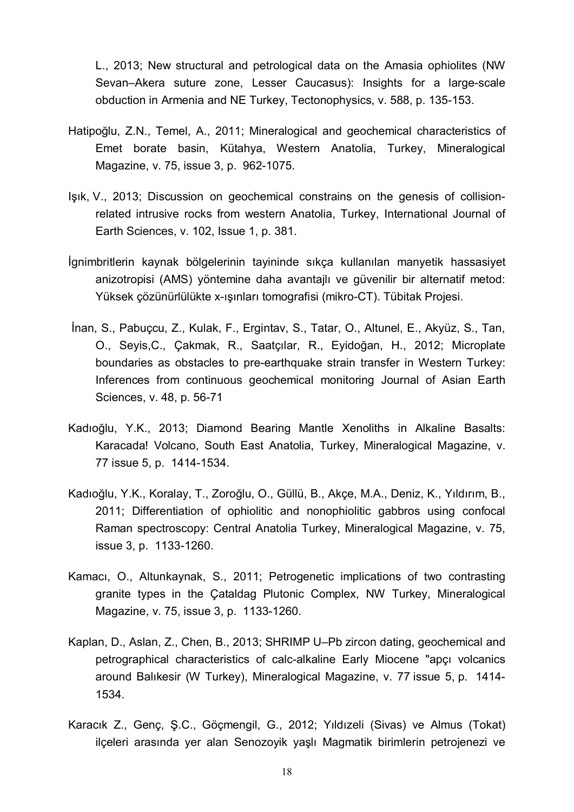L., 2013; [New structural and petrological data on the Amasia ophiolites \(NW](http://www.sciencedirect.com/science/article/pii/S0040195112007718) [Sevan–Akera suture zone, Lesser Caucasus\): Insights for a large-scale](http://www.sciencedirect.com/science/article/pii/S0040195112007718) [obduction in Armenia and NE Turkey,](http://www.sciencedirect.com/science/article/pii/S0040195112007718) [Tectonophysics,](http://www.sciencedirect.com/science/journal/00401951) v. 588, p. 135-153.

- Hatipoğlu, Z.N., Temel, A., 2011; Mineralogical and geochemical characteristics of Emet borate basin, Kütahya, Western Anatolia, Turkey, Mineralogical Magazine, v. 75, issue 3, p. 962-1075.
- [Işı](http://www.sciencedirect.com/science/article/pii/S0375674211001701)k, V., 2013; Discussion on geochemical constrains on the genesis of collisionrelated intrusive rocks from western Anatolia, Turkey, [International Journal of](http://link.springer.com/journal/531) [Earth Sciences,](http://link.springer.com/journal/531) [v. 102,](http://www.sciencedirect.com/science/journal/03756742/112/supp/C) [Issue](http://link.springer.com/journal/710/103/1/page/1) 1, p. 381.
- İgnimbritlerin kaynak bölgelerinin tayininde sıkça kullanılan manyetik hassasiyet anizotropisi (AMS) yöntemine daha avantajlı ve güvenilir bir alternatif metod: Yüksek çözünürlülükte x-ışınları tomografisi (mikro-CT). Tübitak Projesi.
- İnan, S., Pabuçcu, Z., Kulak, F., Ergintav, S., Tatar, O., Altunel, E., Akyüz, S., Tan, O., Seyis,C., Çakmak, R., Saatçılar, R., Eyidoğan, H., 2012; Microplate boundaries as obstacles to pre-earthquake strain transfer in Western Turkey: Inferences from continuous geochemical monitoring Journal of Asian Earth Sciences, v. 48, p. 56-71
- Kadıoğlu, Y.K., 2013; Diamond Bearing Mantle Xenoliths in Alkaline Basalts: Karacada! Volcano, South East Anatolia, Turkey, Mineralogical Magazine, v. 77 issue 5, p. 1414-1534.
- Kadıoğlu, Y.K., Koralay, T., Zoroğlu, O., Güllü, B., Akçe, M.A., Deniz, K., Yıldırım, B., 2011; Differentiation of ophiolitic and nonophiolitic gabbros using confocal Raman spectroscopy: Central Anatolia Turkey, Mineralogical Magazine, v. 75, issue 3, p. 1133-1260.
- Kamacı, O., Altunkaynak, S., 2011; Petrogenetic implications of two contrasting granite types in the Çataldag Plutonic Complex, NW Turkey, Mineralogical Magazine, v. 75, issue 3, p. 1133-1260.
- Kaplan, D., Aslan, Z., Chen, B., 2013; SHRIMP U–Pb zircon dating, geochemical and petrographical characteristics of calc-alkaline Early Miocene "apçı volcanics around Balıkesir (W Turkey), Mineralogical Magazine, v. 77 issue 5, p. 1414- 1534.
- Karacık Z., Genç, Ş.C., Göçmengil, G., 2012; Yıldızeli (Sivas) ve Almus (Tokat) ilçeleri arasında yer alan Senozoyik yaşlı Magmatik birimlerin petrojenezi ve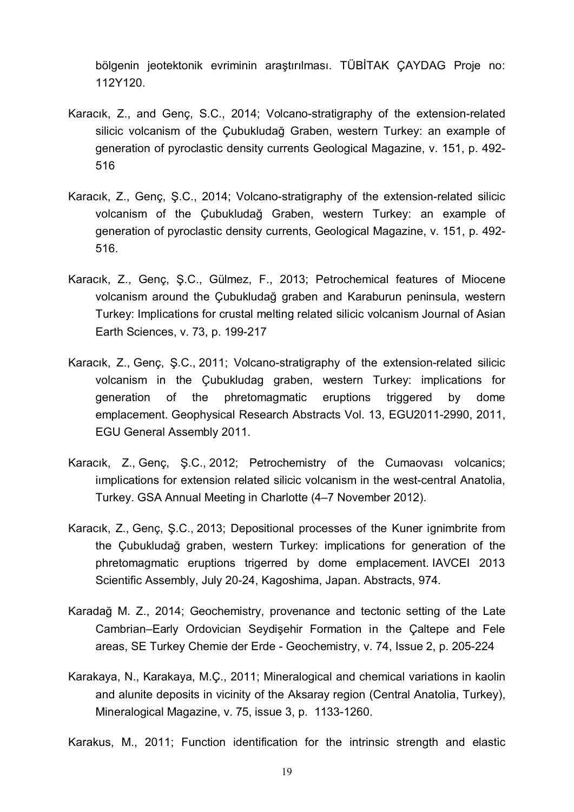bölgenin jeotektonik evriminin araştırılması. TÜBİTAK ÇAYDAG Proje no: 112Y120.

- Karacık, Z., and Genç, S.C., 2014; Volcano-stratigraphy of the extension-related silicic volcanism of the Çubukludağ Graben, western Turkey: an example of generation of pyroclastic density currents Geological Magazine, v. 151, p. 492- 516
- Karacık, Z., Genç, Ş.C., 2014; Volcano-stratigraphy of the extension-related silicic volcanism of the Çubukludağ Graben, western Turkey: an example of generation of pyroclastic density currents, Geological Magazine, [v. 151,](http://www.sciencedirect.com/science/journal/03756742/112/supp/C) p. 492- 516.
- Karacık, Z., Genç, Ş.C., Gülmez, F., 2013; Petrochemical features of Miocene volcanism around the Çubukludağ graben and Karaburun peninsula, western Turkey: Implications for crustal melting related silicic volcanism Journal of Asian Earth Sciences, v. 73, p. 199-217
- Karacık, Z., Genç, Ş.C., 2011; Volcano-stratigraphy of the extension-related silicic volcanism in the Çubukludag graben, western Turkey: implications for generation of the phretomagmatic eruptions triggered by dome emplacement. Geophysical Research Abstracts Vol. 13, EGU2011-2990, 2011, EGU General Assembly 2011.
- Karacık, Z., Genç, Ş.C., 2012; Petrochemistry of the Cumaovası volcanics; iımplications for extension related silicic volcanism in the west-central Anatolia, Turkey. GSA Annual Meeting in Charlotte (4–7 November 2012).
- Karacık, Z., Genç, Ş.C., 2013; Depositional processes of the Kuner ignimbrite from the Çubukludağ graben, western Turkey: implications for generation of the phretomagmatic eruptions trigerred by dome emplacement. IAVCEI 2013 Scientific Assembly, July 20-24, Kagoshima, Japan. Abstracts, 974.
- Karadağ M. Z., 2014; Geochemistry, provenance and tectonic setting of the Late Cambrian–Early Ordovician Seydişehir Formation in the Çaltepe and Fele areas, SE Turkey Chemie der Erde - Geochemistry, v. 74, Issue 2, p. 205-224
- Karakaya, N., Karakaya, M.Ç., 2011; Mineralogical and chemical variations in kaolin and alunite deposits in vicinity of the Aksaray region (Central Anatolia, Turkey), Mineralogical Magazine, v. 75, issue 3, p. 1133-1260.

Karakus, M., 2011; Function identification for the intrinsic strength and elastic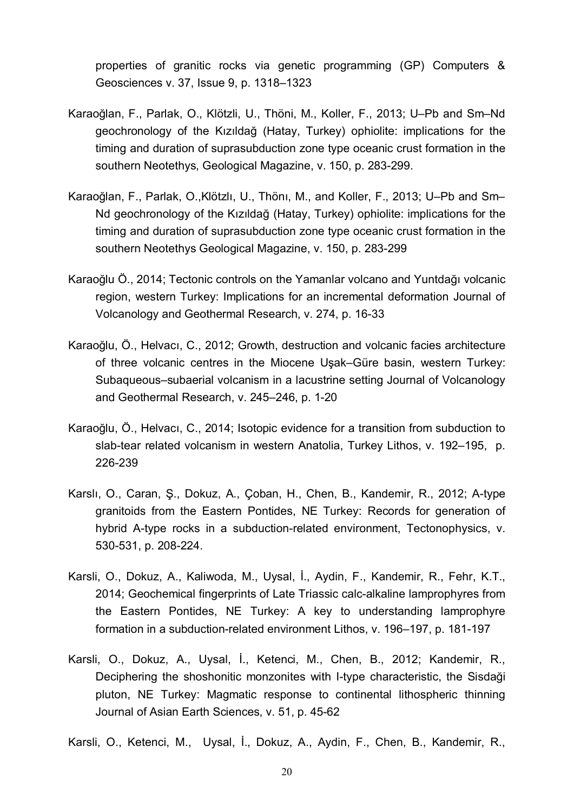properties of granitic rocks via genetic programming (GP) [Computers &](http://www.sciencedirect.com/science/journal/00983004) [Geosciences](http://www.sciencedirect.com/science/journal/00983004) [v. 37, Issue 9,](http://www.sciencedirect.com/science/journal/00983004/37/9) p. 1318–1323

- Karaoğlan, F., Parlak, O., Klötzli, U., Thöni, M., Koller, F., 2013; U–Pb and Sm–Nd geochronology of the Kızıldağ (Hatay, Turkey) ophiolite: implications for the timing and duration of suprasubduction zone type oceanic crust formation in the southern Neotethys, Geological Magazine, [v. 150,](http://www.sciencedirect.com/science/journal/03756742/112/supp/C) p. 283-299.
- Karaoğlan, F., Parlak, O.,Klötzlı, U., Thönı, M., and Koller, F., 2013; U–Pb and Sm– Nd geochronology of the Kızıldağ (Hatay, Turkey) ophiolite: implications for the timing and duration of suprasubduction zone type oceanic crust formation in the southern Neotethys Geological Magazine, v. 150, p. 283-299
- Karaoğlu Ö., 2014; Tectonic controls on the Yamanlar volcano and Yuntdağı volcanic region, western Turkey: Implications for an incremental deformation Journal of Volcanology and Geothermal Research, v. 274, p. 16-33
- Karaoğlu, Ö., Helvacı, C., 2012; Growth, destruction and volcanic facies architecture of three volcanic centres in the Miocene Uşak–Güre basin, western Turkey: Subaqueous–subaerial volcanism in a lacustrine setting Journal of Volcanology and Geothermal Research, v. 245–246, p. 1-20
- Karaoğlu, Ö., Helvacı, C., 2014; Isotopic evidence for a transition from subduction to slab-tear related volcanism in western Anatolia, Turkey Lithos, v. 192–195, p. 226-239
- Karslı, O., Caran, Ş., Dokuz, A., Çoban, H., Chen, B., Kandemir, R., 2012; A-type granitoids from the Eastern Pontides, NE Turkey: Records for generation of hybrid A-type rocks in a subduction-related environment, [Tectonophysics,](http://www.sciencedirect.com/science/journal/00401951) [v.](http://www.sciencedirect.com/science/journal/03756742/112/supp/C) [530-531,](http://www.sciencedirect.com/science/journal/03756742/112/supp/C) p. 208-224.
- Karsli, O., Dokuz, A., Kaliwoda, M., Uysal, İ., Aydin, F., Kandemir, R., Fehr, K.T., 2014; Geochemical fingerprints of Late Triassic calc-alkaline lamprophyres from the Eastern Pontides, NE Turkey: A key to understanding lamprophyre formation in a subduction-related environment Lithos, v. 196–197, p. 181-197
- Karsli, O., Dokuz, A., Uysal, İ., Ketenci, M., Chen, B., 2012; Kandemir, R., Deciphering the shoshonitic monzonites with I-type characteristic, the Sisdaği pluton, NE Turkey: Magmatic response to continental lithospheric thinning Journal of Asian Earth Sciences, v. 51, p. 45-62

Karsli, O., Ketenci, M., Uysal, İ., Dokuz, A., Aydin, F., Chen, B., Kandemir, R.,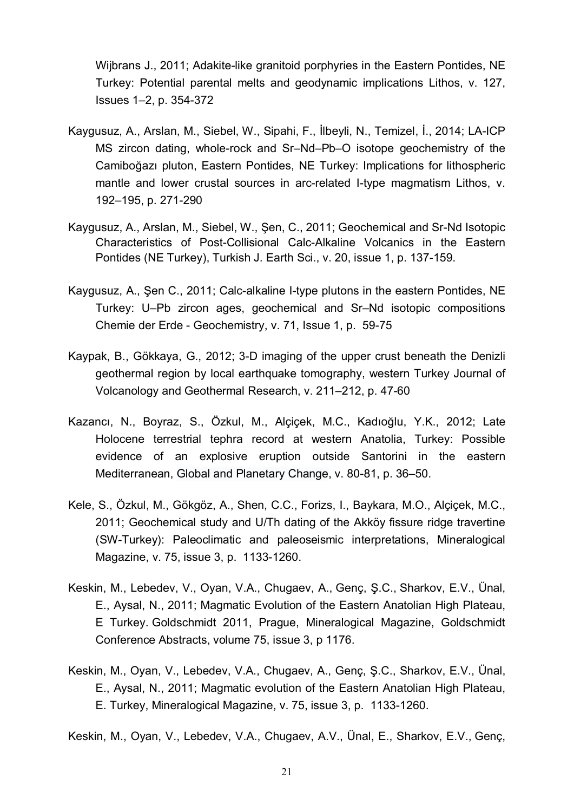Wijbrans J., 2011; Adakite-like granitoid porphyries in the Eastern Pontides, NE Turkey: Potential parental melts and geodynamic implications Lithos, v. 127, Issues 1–2, p. 354-372

- Kaygusuz, A., Arslan, M., Siebel, W., Sipahi, F., İlbeyli, N., Temizel, İ., 2014; LA-ICP MS zircon dating, whole-rock and Sr–Nd–Pb–O isotope geochemistry of the Camiboğazı pluton, Eastern Pontides, NE Turkey: Implications for lithospheric mantle and lower crustal sources in arc-related I-type magmatism Lithos, v. 192–195, p. 271-290
- Kaygusuz, A., Arslan, M., Siebel, W., Şen, C., 2011; Geochemical and Sr-Nd Isotopic Characteristics of Post-Collisional Calc-Alkaline Volcanics in the Eastern Pontides (NE Turkey), Turkish J. Earth Sci., v. 20, issue 1, p. 137-159.
- Kaygusuz, A., Şen C., 2011; Calc-alkaline I-type plutons in the eastern Pontides, NE Turkey: U–Pb zircon ages, geochemical and Sr–Nd isotopic compositions Chemie der Erde - Geochemistry, v. 71, Issue 1, p. 59-75
- Kaypak, B., Gökkaya, G., 2012; 3-D imaging of the upper crust beneath the Denizli geothermal region by local earthquake tomography, western Turkey Journal of Volcanology and Geothermal Research, v. 211–212, p. 47-60
- Kazancı, N., Boyraz, S., Özkul, M., Alçiçek, M.C., Kadıoğlu, Y.K., 2012; Late Holocene terrestrial tephra record at western Anatolia, Turkey: Possible evidence of an explosive eruption outside Santorini in the eastern Mediterranean, [Global and Planetary Change,](http://www.sciencedirect.com/science/journal/09218181) [v. 80-81,](http://www.sciencedirect.com/science/journal/03756742/112/supp/C) p. 36–50.
- Kele, S., Özkul, M., Gökgöz, A., Shen, C.C., Forizs, I., Baykara, M.O., Alçiçek, M.C., 2011; Geochemical study and U/Th dating of the Akköy fissure ridge travertine (SW-Turkey): Paleoclimatic and paleoseismic interpretations, Mineralogical Magazine, v. 75, issue 3, p. 1133-1260.
- Keskin, M., Lebedev, V., Oyan, V.A., Chugaev, A., Genç, Ş.C., Sharkov, E.V., Ünal, E., Aysal, N., 2011; Magmatic Evolution of the Eastern Anatolian High Plateau, E Turkey. Goldschmidt 2011, Prague, Mineralogical Magazine, Goldschmidt Conference Abstracts, volume 75, issue 3, p 1176.
- Keskin, M., Oyan, V., Lebedev, V.A., Chugaev, A., Genç, Ş.C., Sharkov, E.V., Ünal, E., Aysal, N., 2011; Magmatic evolution of the Eastern Anatolian High Plateau, E. Turkey, Mineralogical Magazine, v. 75, issue 3, p. 1133-1260.

Keskin, M., Oyan, V., Lebedev, V.A., Chugaev, A.V., Ünal, E., Sharkov, E.V., Genç,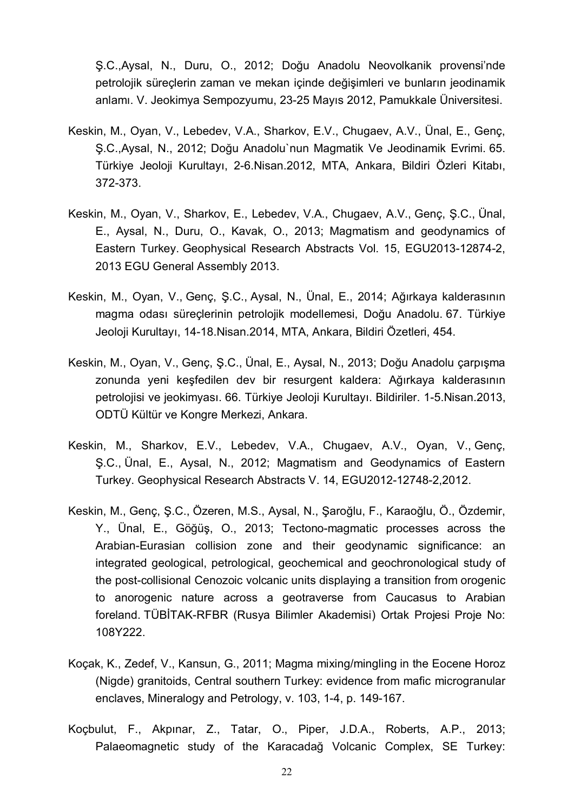Ş.C.,Aysal, N., Duru, O., 2012; Doğu Anadolu Neovolkanik provensi'nde petrolojik süreçlerin zaman ve mekan içinde değişimleri ve bunların jeodinamik anlamı. V. Jeokimya Sempozyumu, 23-25 Mayıs 2012, Pamukkale Üniversitesi.

- Keskin, M., Oyan, V., Lebedev, V.A., Sharkov, E.V., Chugaev, A.V., Ünal, E., Genç, Ş.C.,Aysal, N., 2012; Doğu Anadolu`nun Magmatik Ve Jeodinamik Evrimi. 65. Türkiye Jeoloji Kurultayı, 2-6.Nisan.2012, MTA, Ankara, Bildiri Özleri Kitabı, 372-373.
- Keskin, M., Oyan, V., Sharkov, E., Lebedev, V.A., Chugaev, A.V., Genç, Ş.C., Ünal, E., Aysal, N., Duru, O., Kavak, O., 2013; Magmatism and geodynamics of Eastern Turkey. Geophysical Research Abstracts Vol. 15, EGU2013-12874-2, 2013 EGU General Assembly 2013.
- Keskin, M., Oyan, V., Genç, Ş.C., Aysal, N., Ünal, E., 2014; Ağırkaya kalderasının magma odası süreçlerinin petrolojik modellemesi, Doğu Anadolu. 67. Türkiye Jeoloji Kurultayı, 14-18.Nisan.2014, MTA, Ankara, Bildiri Özetleri, 454.
- Keskin, M., Oyan, V., Genç, Ş.C., Ünal, E., Aysal, N., 2013; Doğu Anadolu çarpışma zonunda yeni keşfedilen dev bir resurgent kaldera: Ağırkaya kalderasının petrolojisi ve jeokimyası. 66. Türkiye Jeoloji Kurultayı. Bildiriler. 1-5.Nisan.2013, ODTÜ Kültür ve Kongre Merkezi, Ankara.
- Keskin, M., Sharkov, E.V., Lebedev, V.A., Chugaev, A.V., Oyan, V., Genç, Ş.C., Ünal, E., Aysal, N., 2012; Magmatism and Geodynamics of Eastern Turkey. Geophysical Research Abstracts V. 14, EGU2012-12748-2,2012.
- Keskin, M., Genç, Ş.C., Özeren, M.S., Aysal, N., Şaroğlu, F., Karaoğlu, Ö., Özdemir, Y., Ünal, E., Göğüş, O., 2013; Tectono-magmatic processes across the Arabian-Eurasian collision zone and their geodynamic significance: an integrated geological, petrological, geochemical and geochronological study of the post-collisional Cenozoic volcanic units displaying a transition from orogenic to anorogenic nature across a geotraverse from Caucasus to Arabian foreland. TÜBİTAK-RFBR (Rusya Bilimler Akademisi) Ortak Projesi Proje No: 108Y222.
- [Koçak,](http://www.sciencedirect.com/science/article/pii/S0375674211001701) K., [Zedef,](http://www.sciencedirect.com/science/article/pii/S0375674211001701) V., [Kansun,](http://www.sciencedirect.com/science/article/pii/S0375674211001701) G., 2011; Magma mixing/mingling in the Eocene Horoz (Nigde) granitoids, Central southern Turkey: evidence from mafic microgranular enclaves, [Mineralogy and Petrology,](http://link.springer.com/journal/710) [v. 103,](http://www.sciencedirect.com/science/journal/03756742/112/supp/C) [1-4,](http://link.springer.com/journal/710/103/1/page/1) p. 149-167.
- Koçbulut, F., Akpınar, Z., Tatar, O., Piper, J.D.A., Roberts, A.P., 2013; [Palaeomagnetic study of the Karacada](http://www.sciencedirect.com/science/article/pii/S004019511300454X)ğ Volcanic Complex, SE Turkey: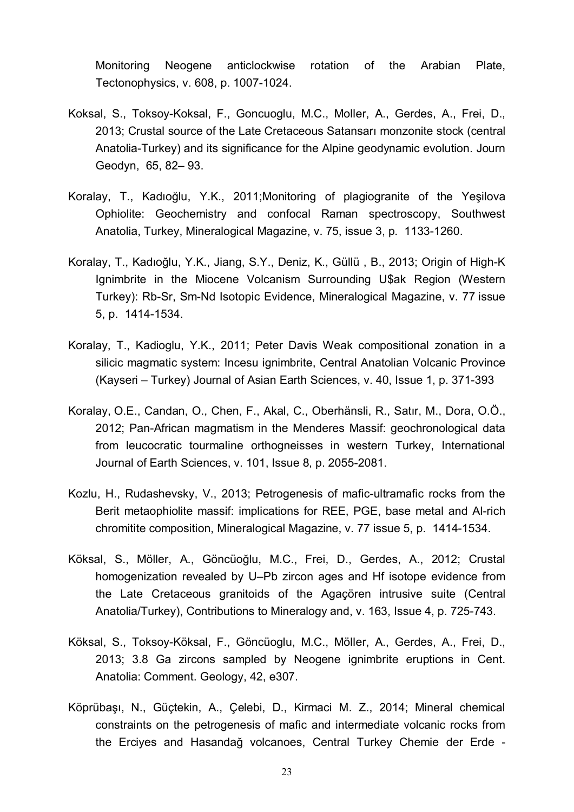[Monitoring Neogene anticlockwise rotation of the Arabian Plate,](http://www.sciencedirect.com/science/article/pii/S004019511300454X) [Tectonophysics,](http://www.sciencedirect.com/science/journal/00401951) v. 608, p. 1007-1024.

- Koksal, S., Toksoy-Koksal, F., Goncuoglu, M.C., Moller, A., Gerdes, A., Frei, D., 2013; Crustal source of the Late Cretaceous Satansarı monzonite stock (central Anatolia-Turkey) and its significance for the Alpine geodynamic evolution. Journ Geodyn, 65, 82– 93.
- Koralay, T., Kadıoğlu, Y.K., 2011;Monitoring of plagiogranite of the Yeşilova Ophiolite: Geochemistry and confocal Raman spectroscopy, Southwest Anatolia, Turkey, Mineralogical Magazine, v. 75, issue 3, p. 1133-1260.
- Koralay, T., Kadıoğlu, Y.K., Jiang, S.Y., Deniz, K., Güllü , B., 2013; Origin of High-K Ignimbrite in the Miocene Volcanism Surrounding U\$ak Region (Western Turkey): Rb-Sr, Sm-Nd Isotopic Evidence, Mineralogical Magazine, v. 77 issue 5, p. 1414-1534.
- Koralay, T., Kadioglu, Y.K., 2011; Peter Davis Weak compositional zonation in a silicic magmatic system: Incesu ignimbrite, Central Anatolian Volcanic Province (Kayseri – Turkey) Journal of Asian Earth Sciences, v. 40, Issue 1, p. 371-393
- [Koralay,](http://www.sciencedirect.com/science/article/pii/S0375674211001701) O.E., Candan, O., Chen, F., Akal, C., [Oberhänsli,](http://link.springer.com/search?facet-author=%22R.+Oberh%C3%A4nsli%22) R., Satır, M., Dora, O.Ö., 2012; Pan-African magmatism in the Menderes Massif: geochronological data from leucocratic tourmaline orthogneisses in western Turkey, [International](http://link.springer.com/journal/531) [Journal of Earth Sciences,](http://link.springer.com/journal/531) [v. 101,](http://www.sciencedirect.com/science/journal/03756742/112/supp/C) [Issue](http://link.springer.com/journal/710/103/1/page/1) 8, p. 2055-2081.
- Kozlu, H., Rudashevsky, V., 2013; Petrogenesis of mafic-ultramafic rocks from the Berit metaophiolite massif: implications for REE, PGE, base metal and Al-rich chromitite composition, Mineralogical Magazine, v. 77 issue 5, p. 1414-1534.
- Köksal, S., Möller, A., Göncüoğlu, M.C., Frei, D., Gerdes, A., 2012; Crustal homogenization revealed by U–Pb zircon ages and Hf isotope evidence from the Late Cretaceous granitoids of the Agaçören intrusive suite (Central Anatolia/Turkey), Contributions to Mineralogy and, v. 163, [Issue 4,](http://link.springer.com/journal/410/163/4/page/1) p. 725-743.
- Köksal, S., Toksoy-Köksal, F., Göncüoglu, M.C., Möller, A., Gerdes, A., Frei, D., 2013; 3.8 Ga zircons sampled by Neogene ignimbrite eruptions in Cent. Anatolia: Comment. Geology, 42, e307.
- Köprübaşı, N., Güçtekin, A., Çelebi, D., Kirmaci M. Z., 2014; Mineral chemical constraints on the petrogenesis of mafic and intermediate volcanic rocks from the Erciyes and Hasandağ volcanoes, Central Turkey Chemie der Erde -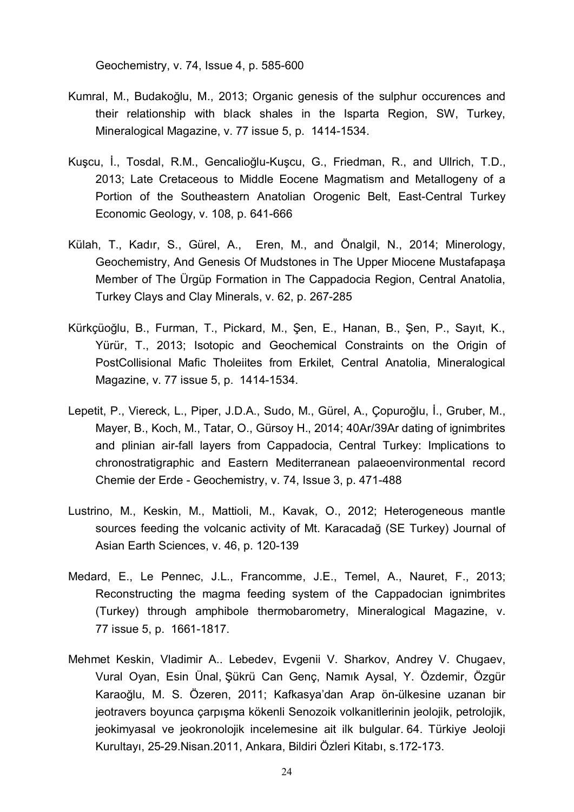Geochemistry, v. 74, Issue 4, p. 585-600

- Kumral, M., Budakoğlu, M., 2013; Organic genesis of the sulphur occurences and their relationship with black shales in the Isparta Region, SW, Turkey, Mineralogical Magazine, v. 77 issue 5, p. 1414-1534.
- Kuşcu, İ., Tosdal, R.M., Gencalioğlu-Kuşcu, G., Friedman, R., and Ullrich, T.D., 2013; Late Cretaceous to Middle Eocene Magmatism and Metallogeny of a Portion of the Southeastern Anatolian Orogenic Belt, East-Central Turkey Economic Geology, v. 108, p. 641-666
- Külah, T., Kadır, S., Gürel, A., Eren, M., and Önalgil, N., 2014; Minerology, Geochemistry, And Genesis Of Mudstones in The Upper Miocene Mustafapaşa Member of The Ürgüp Formation in The Cappadocia Region, Central Anatolia, Turkey Clays and Clay Minerals, v. 62, p. 267-285
- Kürkçüoğlu, B., Furman, T., Pickard, M., Şen, E., Hanan, B., Şen, P., Sayıt, K., Yürür, T., 2013; Isotopic and Geochemical Constraints on the Origin of PostCollisional Mafic Tholeiites from Erkilet, Central Anatolia, Mineralogical Magazine, v. 77 issue 5, p. 1414-1534.
- Lepetit, P., Viereck, L., Piper, J.D.A., Sudo, M., Gürel, A., Çopuroğlu, İ., Gruber, M., Mayer, B., Koch, M., Tatar, O., Gürsoy H., 2014; 40Ar/39Ar dating of ignimbrites and plinian air-fall layers from Cappadocia, Central Turkey: Implications to chronostratigraphic and Eastern Mediterranean palaeoenvironmental record Chemie der Erde - Geochemistry, v. 74, Issue 3, p. 471-488
- Lustrino, M., Keskin, M., Mattioli, M., Kavak, O., 2012; Heterogeneous mantle sources feeding the volcanic activity of Mt. Karacadağ (SE Turkey) Journal of Asian Earth Sciences, v. 46, p. 120-139
- Medard, E., Le Pennec, J.L., Francomme, J.E., Temel, A., Nauret, F., 2013; Reconstructing the magma feeding system of the Cappadocian ignimbrites (Turkey) through amphibole thermobarometry, Mineralogical Magazine, v. 77 issue 5, p. 1661-1817.
- Mehmet Keskin, Vladimir A.. Lebedev, Evgenii V. Sharkov, Andrey V. Chugaev, Vural Oyan, Esin Ünal, Şükrü Can Genç, Namık Aysal, Y. Özdemir, Özgür Karaoğlu, M. S. Özeren, 2011; Kafkasya'dan Arap ön-ülkesine uzanan bir jeotravers boyunca çarpışma kökenli Senozoik volkanitlerinin jeolojik, petrolojik, jeokimyasal ve jeokronolojik incelemesine ait ilk bulgular. 64. Türkiye Jeoloji Kurultayı, 25-29.Nisan.2011, Ankara, Bildiri Özleri Kitabı, s.172-173.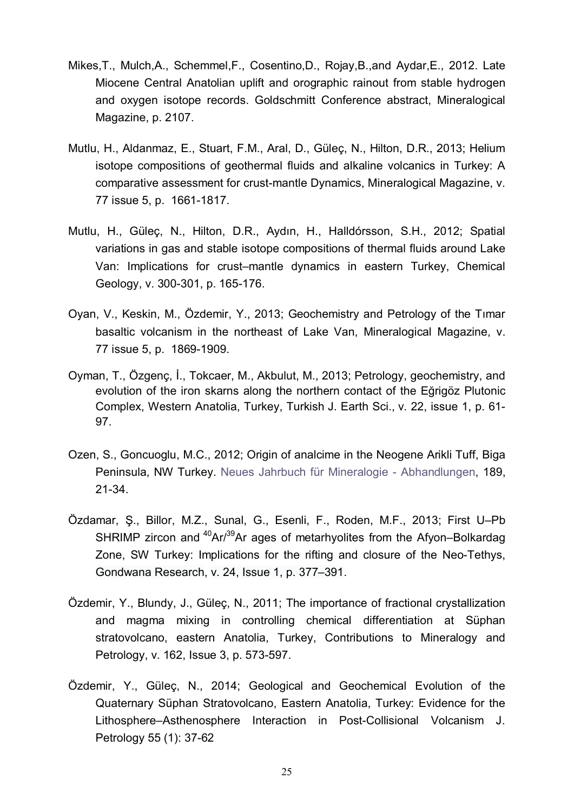- Mikes,T., Mulch,A., Schemmel,F., Cosentino,D., Rojay,B.,and Aydar,E., 2012. Late Miocene Central Anatolian uplift and orographic rainout from stable hydrogen and oxygen isotope records. Goldschmitt Conference abstract, Mineralogical Magazine, p. 2107.
- Mutlu, H., Aldanmaz, E., Stuart, F.M., Aral, D., Güleç, N., Hilton, D.R., 2013; Helium isotope compositions of geothermal fluids and alkaline volcanics in Turkey: A comparative assessment for crust-mantle Dynamics, Mineralogical Magazine, v. 77 issue 5, p. 1661-1817.
- Mutlu, H., Güleç, N., Hilton, D.R., Aydın, H., Halldórsson, S.H., 2012; [Spatial](http://www.sciencedirect.com/science/article/pii/S000925411200054X) [variations in gas and stable isotope compositions of thermal fluids around Lake](http://www.sciencedirect.com/science/article/pii/S000925411200054X) [Van: Implications for crust–mantle dynamics in eastern Turkey,](http://www.sciencedirect.com/science/article/pii/S000925411200054X) Chemical Geology, v. 300-301, p. 165-176.
- Oyan, V., Keskin, M., Özdemir, Y., 2013; Geochemistry and Petrology of the Tımar basaltic volcanism in the northeast of Lake Van, Mineralogical Magazine, v. 77 issue 5, p. 1869-1909.
- Oyman, T., Özgenç, İ., Tokcaer, M., Akbulut, M., 2013; Petrology, geochemistry, and evolution of the iron skarns along the northern contact of the Eğrigöz Plutonic Complex, Western Anatolia, Turkey, Turkish J. Earth Sci., v. 22, issue 1, p. 61- 97.
- Ozen, S., Goncuoglu, M.C., 2012; Origin of analcime in the Neogene Arikli Tuff, Biga Peninsula, NW Turkey. [Neues Jahrbuch für Mineralogie - Abhandlungen,](http://www.ingentaconnect.com/content/schweiz/njma) 189, 21-34.
- Özdamar, Ş., Billor, M.Z., Sunal, G., Esenli, F., Roden, M.F., 2013; First U–Pb SHRIMP zircon and  $40Ar^{39}$ Ar ages of metarhyolites from the Afyon–Bolkardag Zone, SW Turkey: Implications for the rifting and closure of the Neo-Tethys, [Gondwana Research,](http://www.sciencedirect.com/science/journal/1342937X) [v. 24, Issue 1,](http://www.sciencedirect.com/science/journal/1342937X/24/1) p. 377–391.
- Özdemir, Y., Blundy, J., Güleç, N., 2011; [The importance of fractional crystallization](http://link.springer.com/article/10.1007/s00410-011-0613-8) [and magma mixing in controlling chemical differentiation at Süphan](http://link.springer.com/article/10.1007/s00410-011-0613-8) [stratovolcano, eastern Anatolia, Turkey,](http://link.springer.com/article/10.1007/s00410-011-0613-8) [Contributions to Mineralogy and](http://link.springer.com/journal/410) [Petrology,](http://link.springer.com/journal/410) v. 162, Issue 3, p. 573-597.
- Özdemir, Y., Güleç, N., 2014; Geological and Geochemical Evolution of the Quaternary Süphan Stratovolcano, Eastern Anatolia, Turkey: Evidence for the Lithosphere–Asthenosphere Interaction in Post-Collisional Volcanism J. Petrology 55 (1): 37-62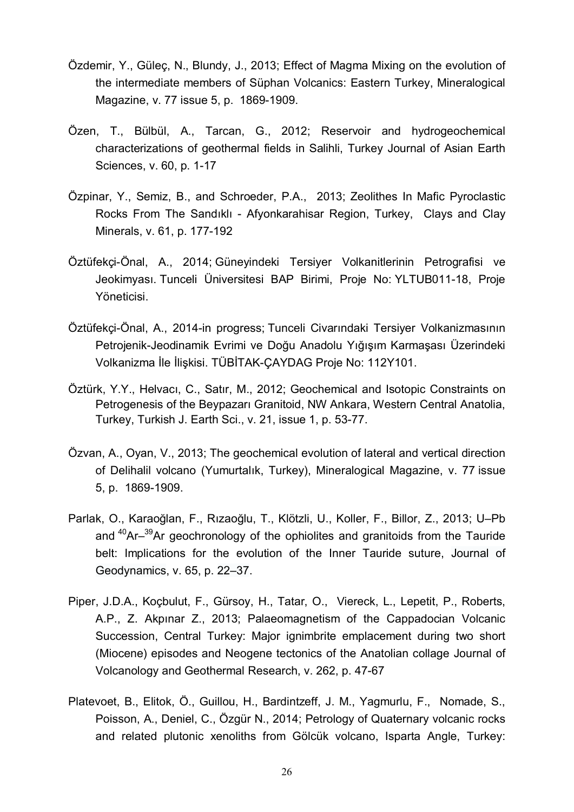- Özdemir, Y., Güleç, N., Blundy, J., 2013; Effect of Magma Mixing on the evolution of the intermediate members of Süphan Volcanics: Eastern Turkey, Mineralogical Magazine, v. 77 issue 5, p. 1869-1909.
- Özen, T., Bülbül, A., Tarcan, G., 2012; Reservoir and hydrogeochemical characterizations of geothermal fields in Salihli, Turkey Journal of Asian Earth Sciences, v. 60, p. 1-17
- Özpinar, Y., Semiz, B., and Schroeder, P.A., 2013; Zeolithes In Mafic Pyroclastic Rocks From The Sandıklı - Afyonkarahisar Region, Turkey, Clays and Clay Minerals, v. 61, p. 177-192
- Öztüfekçi-Önal, A., 2014; Güneyindeki Tersiyer Volkanitlerinin Petrografisi ve Jeokimyası. Tunceli Üniversitesi BAP Birimi, Proje No: YLTUB011-18, Proje Yöneticisi.
- Öztüfekçi-Önal, A., 2014-in progress; Tunceli Civarındaki Tersiyer Volkanizmasının Petrojenik-Jeodinamik Evrimi ve Doğu Anadolu Yığışım Karmaşası Üzerindeki Volkanizma İle İlişkisi. TÜBİTAK-ÇAYDAG Proje No: 112Y101.
- Öztürk, Y.Y., Helvacı, C., Satır, M., 2012; Geochemical and Isotopic Constraints on Petrogenesis of the Beypazarı Granitoid, NW Ankara, Western Central Anatolia, Turkey, Turkish J. Earth Sci., v. 21, issue 1, p. 53-77.
- Özvan, A., Oyan, V., 2013; The geochemical evolution of lateral and vertical direction of Delihalil volcano (Yumurtalık, Turkey), Mineralogical Magazine, v. 77 issue 5, p. 1869-1909.
- Parlak, O., Karaoğlan, F., Rızaoğlu, T., Klötzli, U., Koller, F., Billor, Z., 2013; U–Pb and <sup>40</sup>Ar–<sup>39</sup>Ar geochronology of the ophiolites and granitoids from the Tauride belt: Implications for the evolution of the Inner Tauride suture, [Journal of](http://www.sciencedirect.com/science/journal/02643707) [Geodynamics,](http://www.sciencedirect.com/science/journal/02643707) [v. 65,](http://www.sciencedirect.com/science/journal/03756742/112/supp/C) p. 22–37.
- Piper, J.D.A., Koçbulut, F., Gürsoy, H., Tatar, O., Viereck, L., Lepetit, P., Roberts, A.P., Z. Akpınar Z., 2013; Palaeomagnetism of the Cappadocian Volcanic Succession, Central Turkey: Major ignimbrite emplacement during two short (Miocene) episodes and Neogene tectonics of the Anatolian collage Journal of Volcanology and Geothermal Research, v. 262, p. 47-67
- Platevoet, B., Elitok, Ö., Guillou, H., Bardintzeff, J. M., Yagmurlu, F., Nomade, S., Poisson, A., Deniel, C., Özgür N., 2014; Petrology of Quaternary volcanic rocks and related plutonic xenoliths from Gölcük volcano, Isparta Angle, Turkey: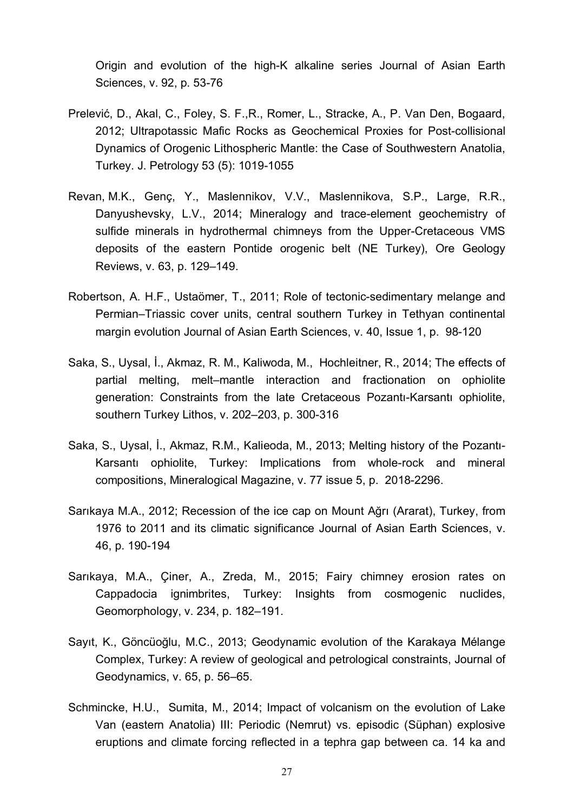Origin and evolution of the high-K alkaline series Journal of Asian Earth Sciences, v. 92, p. 53-76

- Prelević, D., Akal, C., Foley, S. F.,R., Romer, L., Stracke, A., P. Van Den, Bogaard, 2012; Ultrapotassic Mafic Rocks as Geochemical Proxies for Post-collisional Dynamics of Orogenic Lithospheric Mantle: the Case of Southwestern Anatolia, Turkey. J. Petrology 53 (5): 1019-1055
- [Revan,](http://www.sciencedirect.com/science/article/pii/S0375674211001701) M.K., [Genç,](http://www.sciencedirect.com/science/article/pii/S0375674211001701) Y., [Maslennikov,](http://www.sciencedirect.com/science/article/pii/S0375674211001701) V.V., [Maslennikova](http://www.sciencedirect.com/science/article/pii/S0375674211001701), S.P., Large, R.R., Danyushevsky, L.V., 2014; Mineralogy and trace-element geochemistry of sulfide minerals in hydrothermal chimneys from the Upper-Cretaceous VMS deposits of the eastern Pontide orogenic belt (NE Turkey), [Ore Geology](http://www.sciencedirect.com/science/journal/01691368) [Reviews,](http://www.sciencedirect.com/science/journal/01691368) [v. 63,](http://www.sciencedirect.com/science/journal/03756742/112/supp/C) p. 129–149.
- Robertson, A. H.F., Ustaömer, T., 2011; Role of tectonic-sedimentary melange and Permian–Triassic cover units, central southern Turkey in Tethyan continental margin evolution Journal of Asian Earth Sciences, v. 40, Issue 1, p. 98-120
- Saka, S., Uysal, İ., Akmaz, R. M., Kaliwoda, M., Hochleitner, R., 2014; The effects of partial melting, melt–mantle interaction and fractionation on ophiolite generation: Constraints from the late Cretaceous Pozantı-Karsantı ophiolite, southern Turkey Lithos, v. 202–203, p. 300-316
- Saka, S., Uysal, İ., Akmaz, R.M., Kalieoda, M., 2013; Melting history of the Pozantı-Karsantı ophiolite, Turkey: Implications from whole-rock and mineral compositions, Mineralogical Magazine, v. 77 issue 5, p. 2018-2296.
- Sarıkaya M.A., 2012; Recession of the ice cap on Mount Ağrı (Ararat), Turkey, from 1976 to 2011 and its climatic significance Journal of Asian Earth Sciences, v. 46, p. 190-194
- Sarıkaya, M.A., Çiner, A., Zreda, M., 2015; Fairy chimney erosion rates on Cappadocia ignimbrites, Turkey: Insights from cosmogenic nuclides, [Geomorphology,](http://www.sciencedirect.com/science/journal/0169555X) [v. 234,](http://www.sciencedirect.com/science/journal/03756742/112/supp/C) p. 182–191.
- Sayıt, K., Göncüoğlu, M.C., 2013; Geodynamic evolution of the Karakaya Mélange Complex, Turkey: A review of geological and petrological constraints, [Journal of](http://www.sciencedirect.com/science/journal/02643707) [Geodynamics,](http://www.sciencedirect.com/science/journal/02643707) [v. 65,](http://www.sciencedirect.com/science/journal/03756742/112/supp/C) p. 56–65.
- Schmincke, H.U., Sumita, M., 2014; Impact of volcanism on the evolution of Lake Van (eastern Anatolia) III: Periodic (Nemrut) vs. episodic (Süphan) explosive eruptions and climate forcing reflected in a tephra gap between ca. 14 ka and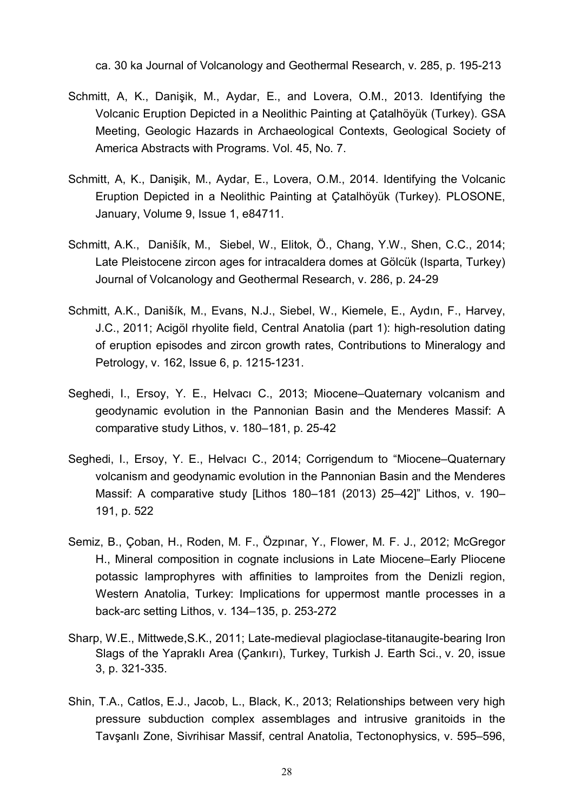ca. 30 ka Journal of Volcanology and Geothermal Research, v. 285, p. 195-213

- Schmitt, A, K., Danişik, M., Aydar, E., and Lovera, O.M., 2013. Identifying the Volcanic Eruption Depicted in a Neolithic Painting at Çatalhöyük (Turkey). GSA Meeting, Geologic Hazards in Archaeological Contexts, Geological Society of America Abstracts with Programs. Vol. 45, No. 7.
- Schmitt, A, K., Danişik, M., Aydar, E., Lovera, O.M., 2014. Identifying the Volcanic Eruption Depicted in a Neolithic Painting at Çatalhöyük (Turkey). PLOSONE, January, Volume 9, Issue 1, e84711.
- Schmitt, A.K., Danišík, M., Siebel, W., Elitok, Ö., Chang, Y.W., Shen, C.C., 2014; Late Pleistocene zircon ages for intracaldera domes at Gölcük (Isparta, Turkey) Journal of Volcanology and Geothermal Research, v. 286, p. 24-29
- Schmitt, A.K., Danišík, M., Evans, N.J., Siebel, W., Kiemele, E., Aydın, F., Harvey, J.C., 2011; Acigöl rhyolite field, Central Anatolia (part 1): high-resolution dating of eruption episodes and zircon growth rates, [Contributions to Mineralogy and](http://link.springer.com/journal/410) [Petrology,](http://link.springer.com/journal/410) v. 162, Issue 6, p. 1215-1231.
- Seghedi, I., Ersoy, Y. E., Helvacı C., 2013; Miocene–Quaternary volcanism and geodynamic evolution in the Pannonian Basin and the Menderes Massif: A comparative study Lithos, v. 180–181, p. 25-42
- Seghedi, I., Ersoy, Y. E., Helvacı C., 2014; Corrigendum to "Miocene–Quaternary volcanism and geodynamic evolution in the Pannonian Basin and the Menderes Massif: A comparative study [Lithos 180–181 (2013) 25–42]" Lithos, v. 190– 191, p. 522
- Semiz, B., Çoban, H., Roden, M. F., Özpınar, Y., Flower, M. F. J., 2012; McGregor H., Mineral composition in cognate inclusions in Late Miocene–Early Pliocene potassic lamprophyres with affinities to lamproites from the Denizli region, Western Anatolia, Turkey: Implications for uppermost mantle processes in a back-arc setting Lithos, v. 134–135, p. 253-272
- Sharp, W.E., Mittwede,S.K., 2011; Late-medieval plagioclase-titanaugite-bearing Iron Slags of the Yapraklı Area (Çankırı), Turkey, Turkish J. Earth Sci., v. 20, issue 3, p. 321-335.
- Shin, T.A., Catlos, E.J., Jacob, L., Black, K., 2013; [Relationships between very high](http://www.sciencedirect.com/science/article/pii/S0040195112004295) [pressure subduction complex assemblages and intrusive granitoids in the](http://www.sciencedirect.com/science/article/pii/S0040195112004295) Tavşanlı [Zone, Sivrihisar Massif, central Anatolia,](http://www.sciencedirect.com/science/article/pii/S0040195112004295) [Tectonophysics,](http://www.sciencedirect.com/science/journal/00401951) [v. 595–596,](http://www.sciencedirect.com/science/journal/03756742/112/supp/C)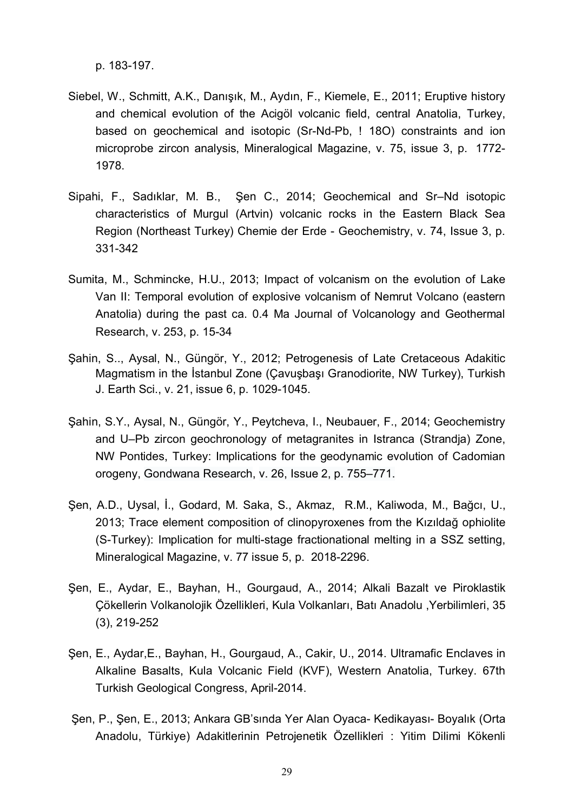p. 183-197.

- Siebel, W., Schmitt, A.K., Danışık, M., Aydın, F., Kiemele, E., 2011; Eruptive history and chemical evolution of the Acigöl volcanic field, central Anatolia, Turkey, based on geochemical and isotopic (Sr-Nd-Pb, ! 18O) constraints and ion microprobe zircon analysis, Mineralogical Magazine, v. 75, issue 3, p. 1772- 1978.
- Sipahi, F., Sadıklar, M. B., Şen C., 2014; Geochemical and Sr–Nd isotopic characteristics of Murgul (Artvin) volcanic rocks in the Eastern Black Sea Region (Northeast Turkey) Chemie der Erde - Geochemistry, v. 74, Issue 3, p. 331-342
- Sumita, M., Schmincke, H.U., 2013; Impact of volcanism on the evolution of Lake Van II: Temporal evolution of explosive volcanism of Nemrut Volcano (eastern Anatolia) during the past ca. 0.4 Ma Journal of Volcanology and Geothermal Research, v. 253, p. 15-34
- Şahin, S.., Aysal, N., Güngör, Y., 2012; Petrogenesis of Late Cretaceous Adakitic Magmatism in the İstanbul Zone (Çavuşbaşı Granodiorite, NW Turkey), Turkish J. Earth Sci., v. 21, issue 6, p. 1029-1045.
- Şahin, S.Y., Aysal, N., Güngör, Y., Peytcheva, I., Neubauer, F., 2014; Geochemistry and U–Pb zircon geochronology of metagranites in Istranca (Strandja) Zone, NW Pontides, Turkey: Implications for the geodynamic evolution of Cadomian orogeny, [Gondwana Research,](http://www.sciencedirect.com/science/journal/1342937X) [v. 26, Issue 2,](http://www.sciencedirect.com/science/journal/1342937X/26/2) p. 755–771.
- Şen, A.D., Uysal, İ., Godard, M. Saka, S., Akmaz, R.M., Kaliwoda, M., Bağcı, U., 2013; Trace element composition of clinopyroxenes from the Kızıldağ ophiolite (S-Turkey): Implication for multi-stage fractionational melting in a SSZ setting, Mineralogical Magazine, v. 77 issue 5, p. 2018-2296.
- Şen, E., Aydar, E., Bayhan, H., Gourgaud, A., 2014; Alkali Bazalt ve Piroklastik Çökellerin Volkanolojik Özellikleri, Kula Volkanları, Batı Anadolu ,Yerbilimleri, 35 (3), 219-252
- Şen, E., Aydar,E., Bayhan, H., Gourgaud, A., Cakir, U., 2014. Ultramafic Enclaves in Alkaline Basalts, Kula Volcanic Field (KVF), Western Anatolia, Turkey. 67th Turkish Geological Congress, April-2014.
- Şen, P., Şen, E., 2013; Ankara GB'sında Yer Alan Oyaca- Kedikayası- Boyalık (Orta Anadolu, Türkiye) Adakitlerinin Petrojenetik Özellikleri : Yitim Dilimi Kökenli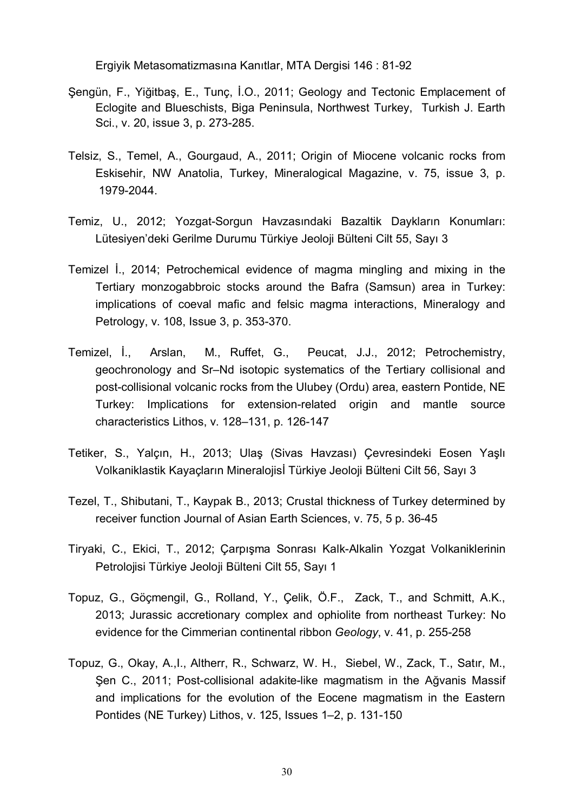Ergiyik Metasomatizmasına Kanıtlar, MTA Dergisi 146 : 81-92

- Şengün, F., Yiğitbaş, E., Tunç, İ.O., 2011; Geology and Tectonic Emplacement of Eclogite and Blueschists, Biga Peninsula, Northwest Turkey, Turkish J. Earth Sci., v. 20, issue 3, p. 273-285.
- Telsiz, S., Temel, A., Gourgaud, A., 2011; Origin of Miocene volcanic rocks from Eskisehir, NW Anatolia, Turkey, Mineralogical Magazine, v. 75, issue 3, p. 1979-2044.
- Temiz, U., 2012; Yozgat-Sorgun Havzasındaki Bazaltik Daykların Konumları: Lütesiyen'deki Gerilme Durumu Türkiye Jeoloji Bülteni Cilt 55, Sayı 3
- Temizel İ., 2014; Petrochemical evidence of magma mingling and mixing in the Tertiary monzogabbroic stocks around the Bafra (Samsun) area in Turkey: implications of coeval mafic and felsic magma interactions, [Mineralogy and](http://link.springer.com/journal/710) [Petrology,](http://link.springer.com/journal/710) [v. 108](http://www.sciencedirect.com/science/journal/03756742/112/supp/C), [Issue](http://link.springer.com/journal/710/103/1/page/1) 3, p. 353-370.
- Temizel, İ., Arslan, M., Ruffet, G., Peucat, J.J., 2012; Petrochemistry, geochronology and Sr–Nd isotopic systematics of the Tertiary collisional and post-collisional volcanic rocks from the Ulubey (Ordu) area, eastern Pontide, NE Turkey: Implications for extension-related origin and mantle source characteristics Lithos, v. 128–131, p. 126-147
- Tetiker, S., Yalçın, H., 2013; Ulaş (Sivas Havzası) Çevresindeki Eosen Yaşlı Volkaniklastik Kayaçların Mineralojisİ Türkiye Jeoloji Bülteni Cilt 56, Sayı 3
- Tezel, T., Shibutani, T., Kaypak B., 2013; Crustal thickness of Turkey determined by receiver function Journal of Asian Earth Sciences, v. 75, 5 p. 36-45
- Tiryaki, C., Ekici, T., 2012; Çarpışma Sonrası Kalk-Alkalin Yozgat Volkaniklerinin Petrolojisi Türkiye Jeoloji Bülteni Cilt 55, Sayı 1
- Topuz, G., Göçmengil, G., Rolland, Y., Çelik, Ö.F., Zack, T., and Schmitt, A.K., 2013; Jurassic accretionary complex and ophiolite from northeast Turkey: No evidence for the Cimmerian continental ribbon *Geology*, v. 41, p. 255-258
- Topuz, G., Okay, A.,I., Altherr, R., Schwarz, W. H., Siebel, W., Zack, T., Satır, M., Şen C., 2011; Post-collisional adakite-like magmatism in the Ağvanis Massif and implications for the evolution of the Eocene magmatism in the Eastern Pontides (NE Turkey) Lithos, v. 125, Issues 1–2, p. 131-150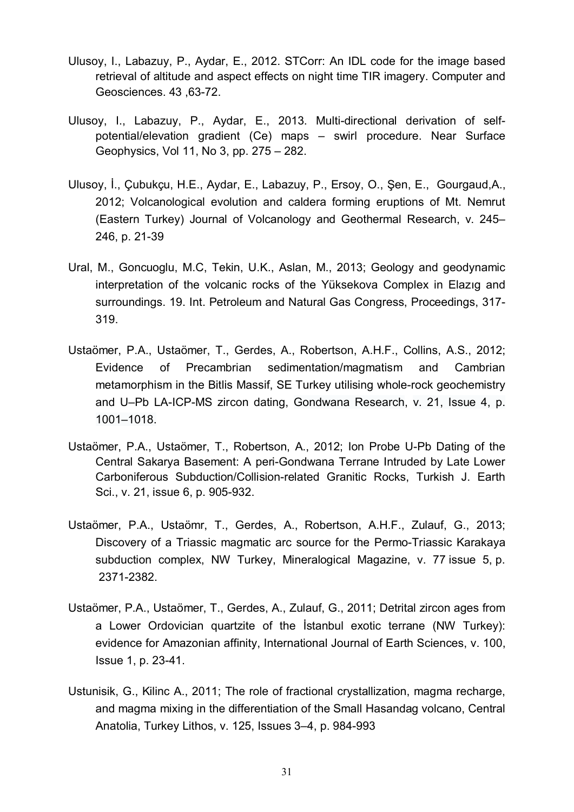- Ulusoy, I., Labazuy, P., Aydar, E., 2012. STCorr: An IDL code for the image based retrieval of altitude and aspect effects on night time TIR imagery. Computer and Geosciences. 43 ,63-72.
- Ulusoy, I., Labazuy, P., Aydar, E., 2013. Multi-directional derivation of selfpotential/elevation gradient (Ce) maps – swirl procedure. Near Surface Geophysics, Vol 11, No 3, pp. 275 – 282.
- Ulusoy, İ., Çubukçu, H.E., Aydar, E., Labazuy, P., Ersoy, O., Şen, E., Gourgaud,A., 2012; Volcanological evolution and caldera forming eruptions of Mt. Nemrut (Eastern Turkey) Journal of Volcanology and Geothermal Research, v. 245– 246, p. 21-39
- Ural, M., Goncuoglu, M.C, Tekin, U.K., Aslan, M., 2013; Geology and geodynamic interpretation of the volcanic rocks of the Yüksekova Complex in Elazıg and surroundings. 19. Int. Petroleum and Natural Gas Congress, Proceedings, 317- 319.
- Ustaömer, P.A., Ustaömer, T., Gerdes, A., [Robertson,](http://www.sciencedirect.com/science/article/pii/S1342937X11002048) A.H.F., Collins, A.S., 2012; Evidence of Precambrian sedimentation/magmatism and Cambrian metamorphism in the Bitlis Massif, SE Turkey utilising whole-rock geochemistry and U–Pb LA-ICP-MS zircon dating, [Gondwana Research,](http://www.sciencedirect.com/science/journal/1342937X) [v. 21, Issue 4,](http://www.sciencedirect.com/science/journal/1342937X/19/2) p. 1001–1018.
- Ustaömer, P.A., Ustaömer, T., Robertson, A., 2012; Ion Probe U-Pb Dating of the Central Sakarya Basement: A peri-Gondwana Terrane Intruded by Late Lower Carboniferous Subduction/Collision-related Granitic Rocks, Turkish J. Earth Sci., v. 21, issue 6, p. 905-932.
- Ustaömer, P.A., Ustaömr, T., Gerdes, A., Robertson, A.H.F., Zulauf, G., 2013; Discovery of a Triassic magmatic arc source for the Permo-Triassic Karakaya subduction complex, NW Turkey, Mineralogical Magazine, v. 77 issue 5, p. 2371-2382.
- [Ustaömer,](http://www.sciencedirect.com/science/article/pii/S0375674211001701) P.A., [Ustaömer](http://www.sciencedirect.com/science/article/pii/S0375674211001701), T., [Gerdes](http://www.sciencedirect.com/science/article/pii/S0375674211001701), A., Zulauf, G., 2011; Detrital zircon ages from a Lower Ordovician quartzite of the İstanbul exotic terrane (NW Turkey): evidence for Amazonian affinity, [International Journal of Earth Sciences,](http://link.springer.com/journal/531) [v. 100,](http://www.sciencedirect.com/science/journal/03756742/112/supp/C) [Issue](http://link.springer.com/journal/710/103/1/page/1) 1, p. 23-41.
- Ustunisik, G., Kilinc A., 2011; The role of fractional crystallization, magma recharge, and magma mixing in the differentiation of the Small Hasandag volcano, Central Anatolia, Turkey Lithos, v. 125, Issues 3–4, p. 984-993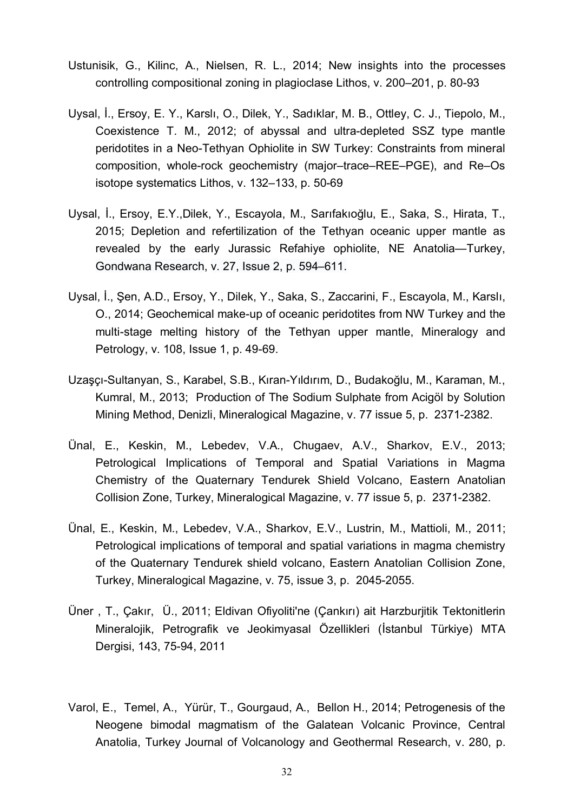- Ustunisik, G., Kilinc, A., Nielsen, R. L., 2014; New insights into the processes controlling compositional zoning in plagioclase Lithos, v. 200–201, p. 80-93
- Uysal, İ., Ersoy, E. Y., Karslı, O., Dilek, Y., Sadıklar, M. B., Ottley, C. J., Tiepolo, M., Coexistence T. M., 2012; of abyssal and ultra-depleted SSZ type mantle peridotites in a Neo-Tethyan Ophiolite in SW Turkey: Constraints from mineral composition, whole-rock geochemistry (major–trace–REE–PGE), and Re–Os isotope systematics Lithos, v. 132–133, p. 50-69
- Uysal, İ., Ersoy, E.Y.,Dilek, Y., Escayola, M., Sarıfakıoğlu, E., Saka, S., Hirata, T., 2015; Depletion and refertilization of the Tethyan oceanic upper mantle as revealed by the early Jurassic Refahiye ophiolite, NE Anatolia—Turkey, [Gondwana Research,](http://www.sciencedirect.com/science/journal/1342937X) [v. 27, Issue 2,](http://www.sciencedirect.com/science/journal/1342937X/27/2) p. 594–611.
- [Uysal,](http://www.sciencedirect.com/science/article/pii/S0375674211001701) İ., Ş[en,](http://www.sciencedirect.com/science/article/pii/S0375674211001701) A.D., [Ersoy,](http://www.sciencedirect.com/science/article/pii/S0375674211001701) Y., Dilek, Y., Saka, S., Zaccarini, F., Escayola, M., Karslı, O., 2014; Geochemical make-up of oceanic peridotites from NW Turkey and the multi-stage melting history of the Tethyan upper mantle, [Mineralogy and](http://link.springer.com/journal/710) [Petrology,](http://link.springer.com/journal/710) [v. 108](http://www.sciencedirect.com/science/journal/03756742/112/supp/C), Issue [1,](http://link.springer.com/journal/710/103/1/page/1) p. 49-69.
- Uzaşçı-Sultanyan, S., Karabel, S.B., Kıran-Yıldırım, D., Budakoğlu, M., Karaman, M., Kumral, M., 2013; Production of The Sodium Sulphate from Acigöl by Solution Mining Method, Denizli, Mineralogical Magazine, v. 77 issue 5, p. 2371-2382.
- Ünal, E., Keskin, M., Lebedev, V.A., Chugaev, A.V., Sharkov, E.V., 2013; Petrological Implications of Temporal and Spatial Variations in Magma Chemistry of the Quaternary Tendurek Shield Volcano, Eastern Anatolian Collision Zone, Turkey, Mineralogical Magazine, v. 77 issue 5, p. 2371-2382.
- Ünal, E., Keskin, M., Lebedev, V.A., Sharkov, E.V., Lustrin, M., Mattioli, M., 2011; Petrological implications of temporal and spatial variations in magma chemistry of the Quaternary Tendurek shield volcano, Eastern Anatolian Collision Zone, Turkey, Mineralogical Magazine, v. 75, issue 3, p. 2045-2055.
- Üner , T., Çakır, Ü., 2011; Eldivan Ofiyoliti'ne (Çankırı) ait Harzburjitik Tektonitlerin Mineralojik, Petrografik ve Jeokimyasal Özellikleri (İstanbul Türkiye) MTA Dergisi, 143, 75-94, 2011
- Varol, E., Temel, A., Yürür, T., Gourgaud, A., Bellon H., 2014; Petrogenesis of the Neogene bimodal magmatism of the Galatean Volcanic Province, Central Anatolia, Turkey Journal of Volcanology and Geothermal Research, v. 280, p.